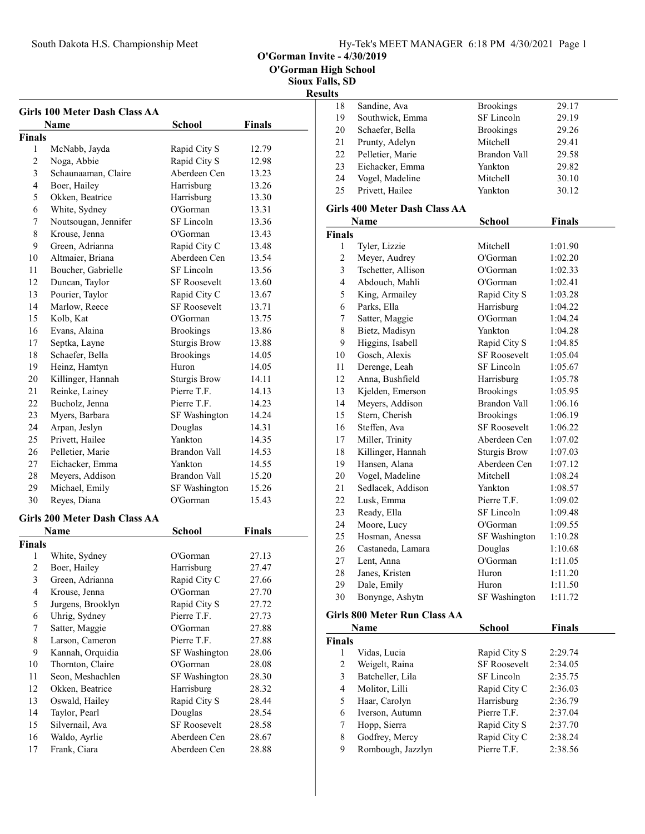O'Gorman Invite - 4/30/2019

O'Gorman High School

Sioux Falls, SD

# Results

|                         | <b>Girls 100 Meter Dash Class AA</b> |                     |               |   |
|-------------------------|--------------------------------------|---------------------|---------------|---|
|                         | Name                                 | <b>School</b>       | <b>Finals</b> |   |
| <b>Finals</b>           |                                      |                     |               |   |
| 1                       | McNabb, Jayda                        | Rapid City S        | 12.79         |   |
| 2                       | Noga, Abbie                          | Rapid City S        | 12.98         |   |
| 3                       | Schaunaaman, Claire                  | Aberdeen Cen        | 13.23         |   |
| $\overline{4}$          | Boer, Hailey                         | Harrisburg          | 13.26         |   |
| 5                       | Okken, Beatrice                      | Harrisburg          | 13.30         |   |
| 6                       | White, Sydney                        | O'Gorman            | 13.31         | G |
| 7                       | Noutsougan, Jennifer                 | SF Lincoln          | 13.36         |   |
| 8                       | Krouse, Jenna                        | O'Gorman            | 13.43         | F |
| 9                       | Green, Adrianna                      | Rapid City C        | 13.48         |   |
| 10                      | Altmaier, Briana                     | Aberdeen Cen        | 13.54         |   |
| 11                      | Boucher, Gabrielle                   | SF Lincoln          | 13.56         |   |
| 12                      | Duncan, Taylor                       | <b>SF</b> Roosevelt | 13.60         |   |
| 13                      | Pourier, Taylor                      | Rapid City C        | 13.67         |   |
| 14                      | Marlow, Reece                        | <b>SF Roosevelt</b> | 13.71         |   |
| 15                      | Kolb, Kat                            | O'Gorman            | 13.75         |   |
| 16                      | Evans, Alaina                        | <b>Brookings</b>    | 13.86         |   |
| 17                      | Septka, Layne                        | <b>Sturgis Brow</b> | 13.88         |   |
| 18                      | Schaefer, Bella                      | <b>Brookings</b>    | 14.05         |   |
| 19                      | Heinz, Hamtyn                        | Huron               | 14.05         |   |
| 20                      | Killinger, Hannah                    | <b>Sturgis Brow</b> | 14.11         |   |
| 21                      | Reinke, Lainey                       | Pierre T.F.         | 14.13         |   |
| 22                      | Bucholz, Jenna                       | Pierre T.F.         | 14.23         |   |
| 23                      | Myers, Barbara                       | SF Washington       | 14.24         |   |
| 24                      | Arpan, Jeslyn                        | Douglas             | 14.31         |   |
| 25                      | Privett, Hailee                      | Yankton             | 14.35         |   |
| 26                      | Pelletier, Marie                     | Brandon Vall        | 14.53         |   |
| 27                      | Eichacker, Emma                      | Yankton             | 14.55         |   |
| 28                      | Meyers, Addison                      | Brandon Vall        | 15.20         |   |
| 29                      | Michael, Emily                       | SF Washington       | 15.26         |   |
| 30                      | Reyes, Diana                         | O'Gorman            | 15.43         |   |
|                         | <b>Girls 200 Meter Dash Class AA</b> |                     |               |   |
|                         | Name                                 | School              | Finals        |   |
| <b>Finals</b>           |                                      |                     |               |   |
| 1                       | White, Sydney                        | O'Gorman            | 27.13         |   |
| $\mathfrak{D}$          | Boer, Hailey                         | Harrisburg          | 27.47         |   |
| 3                       | Green, Adrianna                      | Rapid City C        | 27.66         |   |
| $\overline{\mathbf{4}}$ | Krouse, Jenna                        | O'Gorman            | 27.70         |   |
| 5                       | Jurgens, Brooklyn                    | Rapid City S        | 27.72         |   |
| 6                       | Uhrig, Sydney                        | Pierre T.F.         | 27.73         | G |
| 7                       | Satter, Maggie                       | O'Gorman            | 27.88         |   |
| 8                       | Larson, Cameron                      | Pierre T.F.         | 27.88         | F |
| 9                       | Kannah, Orquidia                     | SF Washington       | 28.06         |   |

10 Thornton, Claire O'Gorman 28.08 11 Seon, Meshachlen SF Washington 28.30 12 Okken, Beatrice Harrisburg 28.32 13 Oswald, Hailey Rapid City S 28.44<br>14 Taylor, Pearl Douglas 28.54 14 28.54 Taylor, Pearl Douglas 15 Silvernail, Ava SF Roosevelt 28.58 16 28.67 Waldo, Ayrlie Aberdeen Cen 17 Frank, Ciara Aberdeen Cen 28.88

| .  |                  |                     |       |
|----|------------------|---------------------|-------|
| 18 | Sandine, Ava     | <b>Brookings</b>    | 29.17 |
| 19 | Southwick, Emma  | SF Lincoln          | 29.19 |
| 20 | Schaefer, Bella  | <b>Brookings</b>    | 29.26 |
| 21 | Prunty, Adelyn   | Mitchell            | 29.41 |
| 22 | Pelletier, Marie | <b>Brandon Vall</b> | 29.58 |
| 23 | Eichacker, Emma  | Yankton             | 29.82 |
| 24 | Vogel, Madeline  | Mitchell            | 30.10 |
| 25 | Privett, Hailee  | Yankton             | 30.12 |
|    |                  |                     |       |

#### Girls 400 Meter Dash Class AA

|                | Name                            | School              | <b>Finals</b> |
|----------------|---------------------------------|---------------------|---------------|
| Finals         |                                 |                     |               |
| 1              | Tyler, Lizzie                   | Mitchell            | 1:01.90       |
| $\overline{2}$ | Meyer, Audrey                   | O'Gorman            | 1:02.20       |
| 3              | Tschetter, Allison              | O'Gorman            | 1:02.33       |
| $\overline{4}$ | Abdouch, Mahli                  | O'Gorman            | 1:02.41       |
| 5              | King, Armailey                  | Rapid City S        | 1:03.28       |
| 6              | Parks, Ella                     | Harrisburg          | 1:04.22       |
| 7              | Satter, Maggie                  | O'Gorman            | 1:04.24       |
| 8              | Bietz, Madisyn                  | Yankton             | 1:04.28       |
| 9              | Higgins, Isabell                | Rapid City S        | 1:04.85       |
| 10             | Gosch, Alexis                   | <b>SF Roosevelt</b> | 1:05.04       |
| 11             | Derenge, Leah                   | SF Lincoln          | 1:05.67       |
| 12             | Anna, Bushfield                 | Harrisburg          | 1:05.78       |
| 13             | Kjelden, Emerson                | <b>Brookings</b>    | 1:05.95       |
| 14             | Meyers, Addison                 | <b>Brandon Vall</b> | 1:06.16       |
| 15             | Stern, Cherish                  | <b>Brookings</b>    | 1:06.19       |
| 16             | Steffen, Ava                    | <b>SF Roosevelt</b> | 1:06.22       |
| 17             | Miller, Trinity                 | Aberdeen Cen        | 1:07.02       |
| 18             | Killinger, Hannah               | Sturgis Brow        | 1:07.03       |
| 19             | Hansen, Alana                   | Aberdeen Cen        | 1:07.12       |
| 20             | Vogel, Madeline                 | Mitchell            | 1:08.24       |
| 21             | Sedlacek, Addison               | Yankton             | 1:08.57       |
| 22             | Lusk, Emma                      | Pierre T.F.         | 1:09.02       |
| 23             | Ready, Ella                     | SF Lincoln          | 1:09.48       |
| 24             | Moore, Lucy                     | O'Gorman            | 1:09.55       |
| 25             | Hosman, Anessa                  | SF Washington       | 1:10.28       |
| 26             | Castaneda, Lamara               | Douglas             | 1:10.68       |
| 27             | Lent, Anna                      | O'Gorman            | 1:11.05       |
| 28             | Janes, Kristen                  | Huron               | 1:11.20       |
| 29             | Dale, Emily                     | Huron               | 1:11.50       |
| 30             | Bonynge, Ashytn                 | SF Washington       | 1:11.72       |
|                | $C^*$ . I . 000 M . I . D $C^1$ |                     |               |

#### Girls 800 Meter Run Class AA

| Name          |                   | <b>School</b>       | <b>Finals</b> |  |
|---------------|-------------------|---------------------|---------------|--|
| <b>Finals</b> |                   |                     |               |  |
| 1             | Vidas, Lucia      | Rapid City S        | 2:29.74       |  |
| 2             | Weigelt, Raina    | <b>SF Roosevelt</b> | 2:34.05       |  |
| 3             | Batcheller, Lila  | SF Lincoln          | 2:35.75       |  |
| 4             | Molitor, Lilli    | Rapid City C        | 2:36.03       |  |
| 5             | Haar, Carolyn     | Harrisburg          | 2:36.79       |  |
| 6             | Iverson, Autumn   | Pierre T.F.         | 2:37.04       |  |
| 7             | Hopp, Sierra      | Rapid City S        | 2:37.70       |  |
| 8             | Godfrey, Mercy    | Rapid City C        | 2:38.24       |  |
| 9             | Rombough, Jazzlyn | Pierre T.F.         | 2:38.56       |  |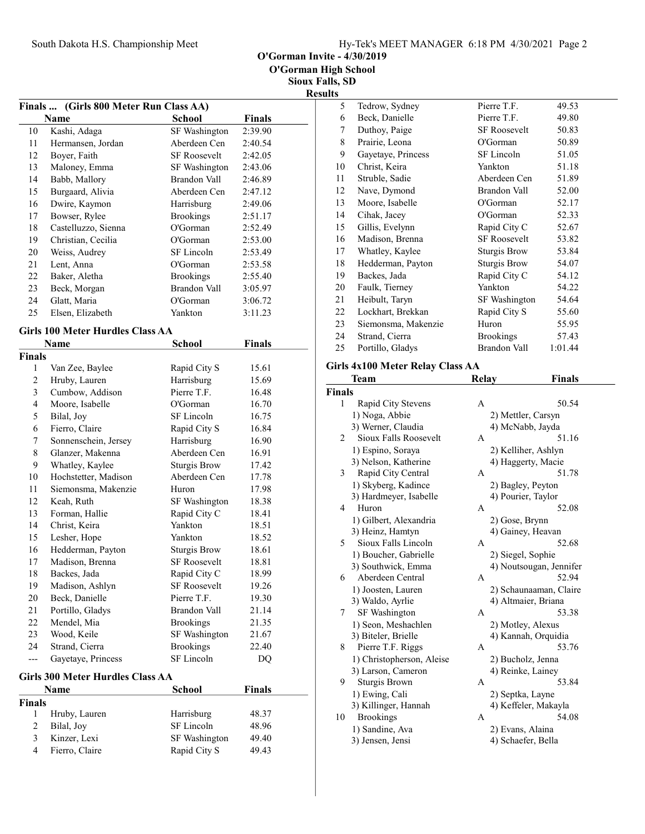O'Gorman Invite - 4/30/2019

Sioux Falls, SD Results

| <b>Finals</b>           | (Girls 800 Meter Run Class AA)          |                                     |                |  |
|-------------------------|-----------------------------------------|-------------------------------------|----------------|--|
|                         | Name                                    | <b>School</b>                       | <b>Finals</b>  |  |
| 10                      | Kashi, Adaga                            | SF Washington                       | 2:39.90        |  |
| 11                      | Hermansen, Jordan                       | Aberdeen Cen                        | 2:40.54        |  |
| 12                      | Boyer, Faith                            | <b>SF Roosevelt</b>                 | 2:42.05        |  |
| 13                      | Maloney, Emma                           | SF Washington                       | 2:43.06        |  |
| 14                      | Babb, Mallory                           | <b>Brandon Vall</b>                 | 2:46.89        |  |
| 15                      | Burgaard, Alivia                        | Aberdeen Cen                        | 2:47.12        |  |
| 16                      | Dwire, Kaymon                           | Harrisburg                          | 2:49.06        |  |
| 17                      | Bowser, Rylee                           | <b>Brookings</b>                    | 2:51.17        |  |
| 18                      | Castelluzzo, Sienna                     | O'Gorman                            | 2:52.49        |  |
| 19                      | Christian, Cecilia                      | O'Gorman                            | 2:53.00        |  |
| 20                      | Weiss, Audrey                           | SF Lincoln                          | 2:53.49        |  |
| 21                      | Lent, Anna                              | O'Gorman                            | 2:53.58        |  |
| 22                      | Baker, Aletha                           | <b>Brookings</b>                    | 2:55.40        |  |
| 23                      | Beck, Morgan                            | <b>Brandon Vall</b>                 | 3:05.97        |  |
| 24                      | Glatt, Maria                            | O'Gorman                            | 3:06.72        |  |
| 25                      | Elsen, Elizabeth                        | Yankton                             | 3:11.23        |  |
|                         |                                         |                                     |                |  |
|                         | <b>Girls 100 Meter Hurdles Class AA</b> |                                     |                |  |
|                         | Name                                    | School                              | Finals         |  |
| Finals                  |                                         |                                     |                |  |
| 1                       | Van Zee, Baylee                         | Rapid City S                        | 15.61          |  |
| $\overline{c}$          | Hruby, Lauren                           | Harrisburg                          | 15.69          |  |
| 3                       | Cumbow, Addison                         | Pierre T.F.                         | 16.48          |  |
| $\overline{4}$          | Moore, Isabelle                         | O'Gorman                            | 16.70          |  |
| 5                       | Bilal, Joy                              | SF Lincoln                          | 16.75          |  |
| 6                       | Fierro, Claire                          | Rapid City S                        | 16.84          |  |
| 7                       | Sonnenschein, Jersey                    | Harrisburg<br>Aberdeen Cen          | 16.90          |  |
| 8                       | Glanzer, Makenna                        |                                     | 16.91          |  |
| 9                       | Whatley, Kaylee                         | Sturgis Brow                        | 17.42          |  |
| 10                      | Hochstetter, Madison                    | Aberdeen Cen                        | 17.78          |  |
| 11                      | Siemonsma, Makenzie                     | Huron                               | 17.98          |  |
| 12                      | Keah, Ruth                              | SF Washington                       | 18.38          |  |
| 13                      | Forman, Hallie                          | Rapid City C<br>Yankton             | 18.41          |  |
| 14                      | Christ, Keira                           |                                     | 18.51          |  |
| 15<br>16                | Lesher, Hope<br>Hedderman, Payton       | Yankton                             | 18.52<br>18.61 |  |
|                         | Madison, Brenna                         | <b>Sturgis Brow</b>                 |                |  |
| 17<br>18                | Backes, Jada                            | SF Roosevelt                        | 18.81          |  |
| 19                      | Madison, Ashlyn                         | Rapid City C<br><b>SF Roosevelt</b> | 18.99<br>19.26 |  |
| 20                      | Beck, Danielle                          | Pierre T.F.                         | 19.30          |  |
| 21                      |                                         | Brandon Vall                        |                |  |
| 22                      | Portillo, Gladys<br>Mendel, Mia         | <b>Brookings</b>                    | 21.14<br>21.35 |  |
| 23                      | Wood, Keile                             | SF Washington                       | 21.67          |  |
| 24                      | Strand, Cierra                          | <b>Brookings</b>                    | 22.40          |  |
| ---                     | Gayetaye, Princess                      | SF Lincoln                          | DO             |  |
|                         |                                         |                                     |                |  |
|                         | Girls 300 Meter Hurdles Class AA        |                                     |                |  |
|                         | Name                                    | School                              | <b>Finals</b>  |  |
| Finals                  |                                         |                                     |                |  |
| 1                       | Hruby, Lauren                           | Harrisburg                          | 48.37          |  |
| $\overline{\mathbf{c}}$ | Bilal, Joy                              | SF Lincoln                          | 48.96          |  |
| $\overline{\mathbf{3}}$ | Kinzer, Lexi                            | SF Washington                       | 49.40          |  |
| $\overline{\mathbf{4}}$ | Fierro, Claire                          | Rapid City S                        | 49.43          |  |

| 5  | Tedrow, Sydney      | Pierre T.F.         | 49.53   |
|----|---------------------|---------------------|---------|
| 6  | Beck, Danielle      | Pierre T.F.         | 49.80   |
| 7  | Duthoy, Paige       | <b>SF Roosevelt</b> | 50.83   |
| 8  | Prairie, Leona      | O'Gorman            | 50.89   |
| 9  | Gayetaye, Princess  | SF Lincoln          | 51.05   |
| 10 | Christ, Keira       | Yankton             | 51.18   |
| 11 | Struble, Sadie      | Aberdeen Cen        | 51.89   |
| 12 | Nave, Dymond        | Brandon Vall        | 52.00   |
| 13 | Moore, Isabelle     | O'Gorman            | 52.17   |
| 14 | Cihak, Jacey        | O'Gorman            | 52.33   |
| 15 | Gillis, Evelynn     | Rapid City C        | 52.67   |
| 16 | Madison, Brenna     | <b>SF Roosevelt</b> | 53.82   |
| 17 | Whatley, Kaylee     | Sturgis Brow        | 53.84   |
| 18 | Hedderman, Payton   | Sturgis Brow        | 54.07   |
| 19 | Backes, Jada        | Rapid City C        | 54.12   |
| 20 | Faulk, Tierney      | Yankton             | 54.22   |
| 21 | Heibult, Taryn      | SF Washington       | 54.64   |
| 22 | Lockhart, Brekkan   | Rapid City S        | 55.60   |
| 23 | Siemonsma, Makenzie | Huron               | 55.95   |
| 24 | Strand, Cierra      | <b>Brookings</b>    | 57.43   |
| 25 | Portillo, Gladys    | Brandon Vall        | 1:01.44 |
|    |                     |                     |         |

# Girls 4x100 Meter Relay Class AA

|               | <b>Team</b>               | Relay | Finals                  |
|---------------|---------------------------|-------|-------------------------|
| <b>Finals</b> |                           |       |                         |
| 1             | Rapid City Stevens        | A     | 50.54                   |
|               | 1) Noga, Abbie            |       | 2) Mettler, Carsyn      |
|               | 3) Werner, Claudia        |       | 4) McNabb, Jayda        |
| 2             | Sioux Falls Roosevelt     | A     | 51.16                   |
|               | 1) Espino, Soraya         |       | 2) Kelliher, Ashlyn     |
|               | 3) Nelson, Katherine      |       | 4) Haggerty, Macie      |
| 3             | Rapid City Central        | A     | 51.78                   |
|               | 1) Skyberg, Kadince       |       | 2) Bagley, Peyton       |
|               | 3) Hardmeyer, Isabelle    |       | 4) Pourier, Taylor      |
| 4             | Huron                     | A     | 52.08                   |
|               | 1) Gilbert, Alexandria    |       | 2) Gose, Brynn          |
|               | 3) Heinz, Hamtyn          |       | 4) Gainey, Heavan       |
| 5             | Sioux Falls Lincoln       | A     | 52.68                   |
|               | 1) Boucher, Gabrielle     |       | 2) Siegel, Sophie       |
|               | 3) Southwick, Emma        |       | 4) Noutsougan, Jennifer |
| 6             | Aberdeen Central          | A     | 52.94                   |
|               | 1) Joosten, Lauren        |       | 2) Schaunaaman, Claire  |
|               | 3) Waldo, Ayrlie          |       | 4) Altmaier, Briana     |
| 7             | <b>SF</b> Washington      | A     | 53.38                   |
|               | 1) Seon, Meshachlen       |       | 2) Motley, Alexus       |
|               | 3) Biteler, Brielle       |       | 4) Kannah, Orquidia     |
| 8             | Pierre T.F. Riggs         | A     | 53.76                   |
|               | 1) Christopherson, Aleise |       | 2) Bucholz, Jenna       |
|               | 3) Larson, Cameron        |       | 4) Reinke, Lainey       |
| 9             | Sturgis Brown             | A     | 53.84                   |
|               | 1) Ewing, Cali            |       | 2) Septka, Layne        |
|               | 3) Killinger, Hannah      |       | 4) Keffeler, Makayla    |
| 10            | <b>Brookings</b>          | A     | 54.08                   |
|               | 1) Sandine, Ava           |       | 2) Evans, Alaina        |
|               | 3) Jensen, Jensi          |       | 4) Schaefer, Bella      |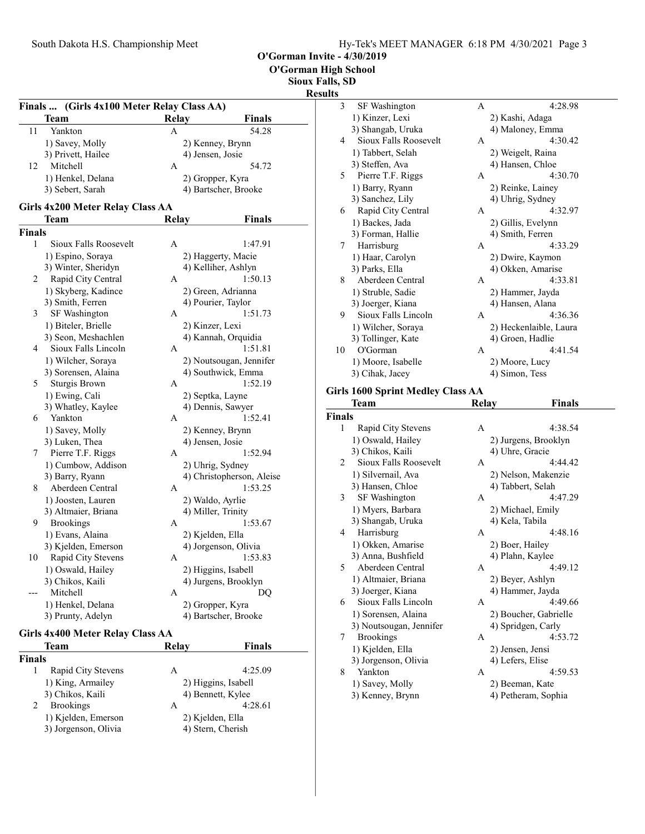O'Gorman High School

Sioux Falls, SD

### Results

| (Girls 4x100 Meter Relay Class AA)<br>Finals |                                  |                  |                                          |
|----------------------------------------------|----------------------------------|------------------|------------------------------------------|
|                                              | Team                             | <b>Relay</b>     | Finals                                   |
| 11                                           | Yankton                          | A                | 54.28                                    |
|                                              | 1) Savey, Molly                  |                  | 2) Kenney, Brynn                         |
|                                              | 3) Privett, Hailee               | 4) Jensen, Josie |                                          |
| 12                                           | Mitchell                         | А                | 54.72                                    |
|                                              | 1) Henkel, Delana                |                  | 2) Gropper, Kyra                         |
|                                              | 3) Sebert, Sarah                 |                  | 4) Bartscher, Brooke                     |
|                                              | Girls 4x200 Meter Relay Class AA |                  |                                          |
|                                              | Team                             | <b>Relay</b>     | Finals                                   |
| <b>Finals</b>                                |                                  |                  |                                          |
| 1                                            | Sioux Falls Roosevelt            | A                | 1:47.91                                  |
|                                              | 1) Espino, Soraya                |                  | 2) Haggerty, Macie                       |
|                                              | 3) Winter, Sheridyn              |                  | 4) Kelliher, Ashlyn                      |
| 2                                            | Rapid City Central               | A                | 1:50.13                                  |
|                                              | 1) Skyberg, Kadince              |                  |                                          |
|                                              |                                  |                  | 2) Green, Adrianna<br>4) Pourier, Taylor |
|                                              | 3) Smith, Ferren                 |                  |                                          |
| 3                                            | SF Washington                    | А                | 1:51.73                                  |
|                                              | 1) Biteler, Brielle              | 2) Kinzer, Lexi  |                                          |
|                                              | 3) Seon, Meshachlen              |                  | 4) Kannah, Orquidia                      |
| 4                                            | Sioux Falls Lincoln              | A                | 1:51.81                                  |
|                                              | 1) Wilcher, Soraya               |                  | 2) Noutsougan, Jennifer                  |
|                                              | 3) Sorensen, Alaina              |                  | 4) Southwick, Emma                       |
| 5                                            | Sturgis Brown                    | A                | 1:52.19                                  |
|                                              | 1) Ewing, Cali                   |                  | 2) Septka, Layne                         |
|                                              | 3) Whatley, Kaylee               |                  | 4) Dennis, Sawyer                        |
| 6                                            | Yankton                          | А                | 1:52.41                                  |
|                                              | 1) Savey, Molly                  |                  | 2) Kenney, Brynn                         |
|                                              | 3) Luken, Thea                   | 4) Jensen, Josie |                                          |
| 7                                            | Pierre T.F. Riggs                | Α                | 1:52.94                                  |
|                                              | 1) Cumbow, Addison               |                  | 2) Uhrig, Sydney                         |
|                                              | 3) Barry, Ryann                  |                  | 4) Christopherson, Aleise                |
| 8                                            | Aberdeen Central                 | Α                | 1:53.25                                  |
|                                              | 1) Joosten, Lauren               |                  | 2) Waldo, Ayrlie                         |
|                                              | 3) Altmaier, Briana              |                  | 4) Miller, Trinity                       |
| 9                                            | <b>Brookings</b>                 | А                | 1:53.67                                  |
|                                              | 1) Evans, Alaina                 | 2) Kjelden, Ella |                                          |
|                                              | 3) Kjelden, Emerson              |                  | 4) Jorgenson, Olivia                     |
| 10                                           | Rapid City Stevens               | Α                | 1:53.83                                  |
|                                              |                                  |                  |                                          |
|                                              | 1) Oswald, Hailey                |                  | 2) Higgins, Isabell                      |
|                                              | 3) Chikos, Kaili                 |                  | 4) Jurgens, Brooklyn                     |
|                                              | Mitchell                         | A                | DO                                       |
|                                              | 1) Henkel, Delana                |                  | 2) Gropper, Kyra                         |
|                                              | 3) Prunty, Adelyn                |                  | 4) Bartscher, Brooke                     |
|                                              | Girls 4x400 Meter Relay Class AA |                  |                                          |
|                                              | Team                             | Relay            | <b>Finals</b>                            |
|                                              |                                  |                  |                                          |
| <b>Finals</b>                                |                                  |                  |                                          |

| тсаш                 | IXUIA V          | т піатэ             |  |
|----------------------|------------------|---------------------|--|
| <b>inals</b>         |                  |                     |  |
| Rapid City Stevens   | A                | 4:25.09             |  |
| 1) King, Armailey    |                  | 2) Higgins, Isabell |  |
| 3) Chikos, Kaili     |                  | 4) Bennett, Kylee   |  |
| <b>Brookings</b>     | А                | 4:28.61             |  |
| 1) Kjelden, Emerson  | 2) Kjelden, Ella |                     |  |
| 3) Jorgenson, Olivia |                  | 4) Stern, Cherish   |  |
|                      |                  |                     |  |

| ults          |                                          |       |                        |  |
|---------------|------------------------------------------|-------|------------------------|--|
| 3             | SF Washington                            | A     | 4:28.98                |  |
|               | 1) Kinzer, Lexi                          |       | 2) Kashi, Adaga        |  |
|               | 3) Shangab, Uruka                        |       | 4) Maloney, Emma       |  |
| 4             | Sioux Falls Roosevelt                    | A     | 4:30.42                |  |
|               | 1) Tabbert, Selah                        |       | 2) Weigelt, Raina      |  |
|               | 3) Steffen, Ava                          |       | 4) Hansen, Chloe       |  |
| 5             | Pierre T.F. Riggs                        | A     | 4:30.70                |  |
|               | 1) Barry, Ryann                          |       | 2) Reinke, Lainey      |  |
|               | 3) Sanchez, Lily                         |       | 4) Uhrig, Sydney       |  |
| 6             | Rapid City Central                       | A     | 4:32.97                |  |
|               | 1) Backes, Jada                          |       | 2) Gillis, Evelynn     |  |
|               | 3) Forman, Hallie                        |       | 4) Smith, Ferren       |  |
| 7             | Harrisburg                               | A     | 4:33.29                |  |
|               | 1) Haar, Carolyn                         |       | 2) Dwire, Kaymon       |  |
|               | 3) Parks, Ella                           |       | 4) Okken, Amarise      |  |
| 8             | Aberdeen Central                         | A     | 4:33.81                |  |
|               | 1) Struble, Sadie                        |       | 2) Hammer, Jayda       |  |
|               | 3) Joerger, Kiana                        |       | 4) Hansen, Alana       |  |
| 9             | Sioux Falls Lincoln                      | A     | 4:36.36                |  |
|               | 1) Wilcher, Soraya                       |       | 2) Heckenlaible, Laura |  |
|               | 3) Tollinger, Kate                       |       | 4) Groen, Hadlie       |  |
| 10            | O'Gorman                                 | A     | 4:41.54                |  |
|               | 1) Moore, Isabelle                       |       | 2) Moore, Lucy         |  |
|               | 3) Cihak, Jacey                          |       | 4) Simon, Tess         |  |
|               | <b>Girls 1600 Sprint Medley Class AA</b> |       |                        |  |
|               | Team                                     | Relay | <b>Finals</b>          |  |
| <b>Finals</b> |                                          |       |                        |  |
| 1             | Rapid City Stevens                       | A     | 4:38.54                |  |
|               | 1) Oswald, Hailey                        |       | 2) Jurgens, Brooklyn   |  |
|               | 3) Chikos, Kaili                         |       | 4) Uhre, Gracie        |  |

|    | 3) Unikos, Kaili        |   | 4) Unre, Gracie       |
|----|-------------------------|---|-----------------------|
| 2  | Sioux Falls Roosevelt   | A | 4:44.42               |
|    | 1) Silvernail, Ava      |   | 2) Nelson, Makenzie   |
|    | 3) Hansen, Chloe        |   | 4) Tabbert, Selah     |
| 3  | SF Washington           | A | 4:47.29               |
|    | 1) Myers, Barbara       |   | 2) Michael, Emily     |
|    | 3) Shangab, Uruka       |   | 4) Kela, Tabila       |
| 4  | Harrisburg              | А | 4:48.16               |
|    | 1) Okken, Amarise       |   | 2) Boer, Hailey       |
|    | 3) Anna, Bushfield      |   | 4) Plahn, Kaylee      |
| 5. | Aberdeen Central        | A | 4:49.12               |
|    | 1) Altmaier, Briana     |   | 2) Beyer, Ashlyn      |
|    | 3) Joerger, Kiana       |   | 4) Hammer, Jayda      |
| 6  | Sioux Falls Lincoln     | А | 4:49.66               |
|    | 1) Sorensen, Alaina     |   | 2) Boucher, Gabrielle |
|    | 3) Noutsougan, Jennifer |   | 4) Spridgen, Carly    |
| 7  | <b>Brookings</b>        | A | 4:53.72               |
|    | 1) Kjelden, Ella        |   | 2) Jensen, Jensi      |
|    | 3) Jorgenson, Olivia    |   | 4) Lefers, Elise      |
| 8  | Yankton                 | A | 4:59.53               |
|    | 1) Savey, Molly         |   | 2) Beeman, Kate       |
|    | 3) Kenney, Brynn        |   | 4) Petheram, Sophia   |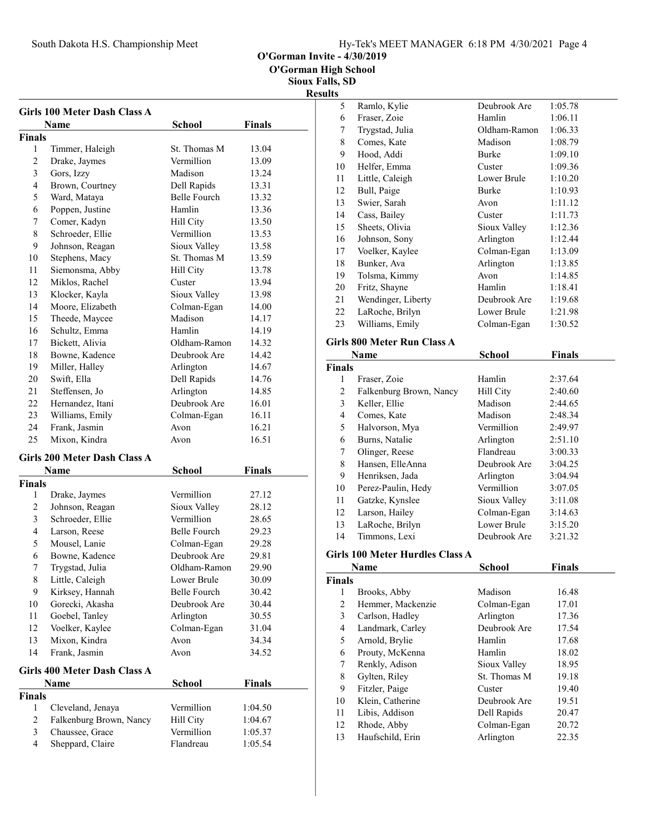|  | Hy-Tek's MEET MANAGER 6:18 PM 4/30/2021 Page 4 |  |  |
|--|------------------------------------------------|--|--|
|  |                                                |  |  |

O'Gorman Invite - 4/30/2019

O'Gorman High School

Sioux Falls, SD Results

|                | <b>Girls 100 Meter Dash Class A</b><br><b>Name</b> | <b>School</b>       | <b>Finals</b> |  |
|----------------|----------------------------------------------------|---------------------|---------------|--|
| <b>Finals</b>  |                                                    |                     |               |  |
| 1              | Timmer, Haleigh                                    | St. Thomas M        | 13.04         |  |
| 2              | Drake, Jaymes                                      | Vermillion          | 13.09         |  |
| 3              | Gors, Izzy                                         | Madison             | 13.24         |  |
| $\overline{4}$ | Brown, Courtney                                    | Dell Rapids         | 13.31         |  |
| 5              | Ward, Mataya                                       | <b>Belle Fourch</b> | 13.32         |  |
| 6              | Poppen, Justine                                    | Hamlin              | 13.36         |  |
| 7              | Comer, Kadyn                                       | Hill City           | 13.50         |  |
| 8              | Schroeder, Ellie                                   | Vermillion          | 13.53         |  |
| 9              | Johnson, Reagan                                    | Sioux Valley        | 13.58         |  |
| 10             | Stephens, Macy                                     | St. Thomas M        | 13.59         |  |
| 11             | Siemonsma, Abby                                    | Hill City           | 13.78         |  |
| 12             | Miklos, Rachel                                     | Custer              | 13.94         |  |
| 13             | Klocker, Kayla                                     | Sioux Valley        | 13.98         |  |
| 14             | Moore, Elizabeth                                   | Colman-Egan         | 14.00         |  |
| 15             | Theede, Maycee                                     | Madison             | 14.17         |  |
| 16             | Schultz, Emma                                      | Hamlin              | 14.19         |  |
| 17             | Bickett, Alivia                                    | Oldham-Ramon        | 14.32         |  |
| 18             | Bowne, Kadence                                     | Deubrook Are        | 14.42         |  |
| 19             | Miller, Halley                                     | Arlington           | 14.67         |  |
| 20             | Swift, Ella                                        | Dell Rapids         | 14.76         |  |
| 21             | Steffensen. Jo                                     | Arlington           | 14.85         |  |
| 22             | Hernandez, Itani                                   | Deubrook Are        | 16.01         |  |
| 23             | Williams, Emily                                    | Colman-Egan         | 16.11         |  |
| 24             | Frank, Jasmin                                      | Avon                | 16.21         |  |
| 25             | Mixon, Kindra                                      | Avon                | 16.51         |  |
|                |                                                    |                     |               |  |
|                | Girls 200 Meter Dash Class A                       |                     |               |  |
|                | Name                                               | <b>School</b>       | <b>Finals</b> |  |
| <b>Finals</b>  |                                                    |                     |               |  |
| 1              | Drake, Jaymes                                      | Vermillion          | 27.12         |  |
| 2              | Johnson, Reagan                                    | Sioux Valley        | 28.12         |  |
| 3              | Schroeder, Ellie                                   | Vermillion          | 28.65         |  |
| $\overline{4}$ | Larson, Reese                                      | Belle Fourch        | 29.23         |  |
| 5              | Mousel, Lanie                                      | Colman-Egan         | 29.28         |  |
| 6              | Bowne, Kadence                                     | Deubrook Are        | 29.81         |  |
| 7              | Trygstad, Julia                                    | Oldham-Ramon        | 29.90         |  |
| 8              | Little, Caleigh                                    | Lower Brule         | 30.09         |  |
| 9              | Kirksey, Hannah                                    | Belle Fourch        | 30.42         |  |
| 10             | Gorecki, Akasha                                    | Deubrook Are        | 30.44         |  |
| 11             | Goebel, Tanley                                     | Arlington           | 30.55         |  |
| 12             | Voelker, Kaylee                                    | Colman-Egan         | 31.04         |  |
| 13             | Mixon, Kindra                                      | Avon                | 34.34         |  |
| 14             | Frank, Jasmin                                      | Avon                | 34.52         |  |
|                | Girls 400 Meter Dash Class A                       |                     |               |  |
|                | Name                                               | <b>School</b>       | <b>Finals</b> |  |
| <b>Finals</b>  |                                                    |                     |               |  |
| 1              | Cleveland, Jenaya                                  | Vermillion          | 1:04.50       |  |
| $\overline{2}$ | Falkenburg Brown, Nancy                            | Hill City           | 1:04.67       |  |
| 3              | Chaussee, Grace                                    | Vermillion          | 1:05.37       |  |
| 4              | Sheppard, Claire                                   | Flandreau           | 1:05.54       |  |

| 5  | Ramlo, Kylie       | Deubrook Are | 1:05.78 |
|----|--------------------|--------------|---------|
| 6  | Fraser, Zoie       | Hamlin       | 1:06.11 |
| 7  | Trygstad, Julia    | Oldham-Ramon | 1:06.33 |
| 8  | Comes, Kate        | Madison      | 1:08.79 |
| 9  | Hood, Addi         | Burke        | 1:09.10 |
| 10 | Helfer, Emma       | Custer       | 1:09.36 |
| 11 | Little, Caleigh    | Lower Brule  | 1:10.20 |
| 12 | Bull, Paige        | Burke        | 1:10.93 |
| 13 | Swier, Sarah       | Avon         | 1:11.12 |
| 14 | Cass, Bailey       | Custer       | 1:11.73 |
| 15 | Sheets, Olivia     | Sioux Valley | 1:12.36 |
| 16 | Johnson, Sony      | Arlington    | 1:12.44 |
| 17 | Voelker, Kaylee    | Colman-Egan  | 1:13.09 |
| 18 | Bunker, Ava        | Arlington    | 1:13.85 |
| 19 | Tolsma, Kimmy      | Avon         | 1:14.85 |
| 20 | Fritz, Shayne      | Hamlin       | 1:18.41 |
| 21 | Wendinger, Liberty | Deubrook Are | 1:19.68 |
| 22 | LaRoche, Brilyn    | Lower Brule  | 1:21.98 |
| 23 | Williams, Emily    | Colman-Egan  | 1:30.52 |
|    |                    |              |         |

#### Girls 800 Meter Run Class A

| <b>Name</b>   |                         | School       | <b>Finals</b> |
|---------------|-------------------------|--------------|---------------|
| <b>Finals</b> |                         |              |               |
| 1             | Fraser, Zoie            | Hamlin       | 2:37.64       |
| 2             | Falkenburg Brown, Nancy | Hill City    | 2:40.60       |
| 3             | Keller, Ellie           | Madison      | 2:44.65       |
| 4             | Comes, Kate             | Madison      | 2:48.34       |
| 5             | Halvorson, Mya          | Vermillion   | 2:49.97       |
| 6             | Burns, Natalie          | Arlington    | 2:51.10       |
| 7             | Olinger, Reese          | Flandreau    | 3:00.33       |
| 8             | Hansen, ElleAnna        | Deubrook Are | 3:04.25       |
| 9             | Henriksen, Jada         | Arlington    | 3:04.94       |
| 10            | Perez-Paulin, Hedy      | Vermillion   | 3:07.05       |
| 11            | Gatzke, Kynslee         | Sioux Valley | 3:11.08       |
| 12            | Larson, Hailey          | Colman-Egan  | 3:14.63       |
| 13            | LaRoche, Brilyn         | Lower Brule  | 3:15.20       |
| 14            | Timmons, Lexi           | Deubrook Are | 3:21.32       |

#### Girls 100 Meter Hurdles Class A

|               | Name              | School       | <b>Finals</b> |  |
|---------------|-------------------|--------------|---------------|--|
| <b>Finals</b> |                   |              |               |  |
| 1             | Brooks, Abby      | Madison      | 16.48         |  |
| 2             | Hemmer, Mackenzie | Colman-Egan  | 17.01         |  |
| 3             | Carlson, Hadley   | Arlington    | 17.36         |  |
| 4             | Landmark, Carley  | Deubrook Are | 17.54         |  |
| 5             | Arnold, Brylie    | Hamlin       | 17.68         |  |
| 6             | Prouty, McKenna   | Hamlin       | 18.02         |  |
| 7             | Renkly, Adison    | Sioux Valley | 18.95         |  |
| 8             | Gylten, Riley     | St. Thomas M | 19.18         |  |
| 9             | Fitzler, Paige    | Custer       | 19.40         |  |
| 10            | Klein, Catherine  | Deubrook Are | 19.51         |  |
| 11            | Libis, Addison    | Dell Rapids  | 20.47         |  |
| 12            | Rhode, Abby       | Colman-Egan  | 20.72         |  |
| 13            | Haufschild, Erin  | Arlington    | 22.35         |  |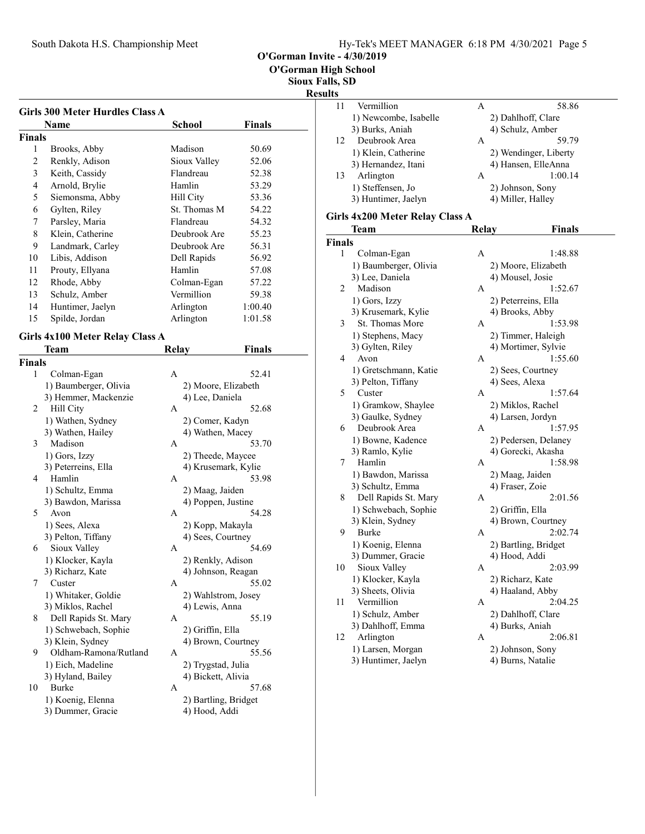O'Gorman Invite - 4/30/2019

O'Gorman High School

Sioux Falls, SD

# Result

| <b>Girls 300 Meter Hurdles Class A</b><br>Name | <b>School</b><br>Finals    |
|------------------------------------------------|----------------------------|
| Finals                                         |                            |
| 1<br>Brooks, Abby                              | Madison<br>50.69           |
| $\overline{c}$<br>Renkly, Adison               | Sioux Valley<br>52.06      |
| 3<br>Keith, Cassidy                            | Flandreau<br>52.38         |
| $\overline{4}$                                 | Hamlin                     |
| Arnold, Brylie                                 | 53.29                      |
| 5<br>Siemonsma, Abby                           | 53.36<br>Hill City         |
| 6<br>Gylten, Riley                             | St. Thomas M<br>54.22      |
| 7<br>Parsley, Maria                            | Flandreau<br>54.32         |
| 8<br>Klein, Catherine                          | 55.23<br>Deubrook Are      |
| 9<br>Landmark, Carley                          | Deubrook Are<br>56.31      |
| Libis, Addison<br>10                           | Dell Rapids<br>56.92       |
| 11<br>Prouty, Ellyana                          | Hamlin<br>57.08            |
| 12<br>Rhode, Abby                              | Colman-Egan<br>57.22       |
| 13<br>Schulz, Amber                            | Vermillion<br>59.38        |
| 14<br>Huntimer, Jaelyn                         | Arlington<br>1:00.40       |
| 15<br>Spilde, Jordan                           | Arlington<br>1:01.58       |
| <b>Girls 4x100 Meter Relay Class A</b>         |                            |
|                                                |                            |
| Team                                           | <b>Relay</b><br>Finals     |
| <b>Finals</b>                                  |                            |
| 1<br>Colman-Egan                               | A<br>52.41                 |
| 1) Baumberger, Olivia                          | 2) Moore, Elizabeth        |
| 3) Hemmer, Mackenzie                           | 4) Lee, Daniela            |
| 2<br>Hill City                                 | 52.68<br>A                 |
| 1) Wathen, Sydney                              | 2) Comer, Kadyn            |
| 3) Wathen, Hailey                              | 4) Wathen, Macey           |
| Madison<br>3                                   | 53.70<br>А                 |
| 1) Gors, Izzy                                  | 2) Theede, Maycee          |
| 3) Peterreins, Ella                            | 4) Krusemark, Kylie        |
| Hamlin<br>4                                    | 53.98<br>А                 |
| 1) Schultz, Emma                               | 2) Maag, Jaiden            |
| 3) Bawdon, Marissa                             | 4) Poppen, Justine         |
| 5<br>Avon                                      | 54.28<br>А                 |
| 1) Sees, Alexa                                 | 2) Kopp, Makayla           |
| 3) Pelton, Tiffany                             | 4) Sees, Courtney<br>54.69 |
| Sioux Valley<br>6                              | А                          |
| 1) Klocker, Kayla                              | 2) Renkly, Adison          |
| 3) Richarz, Kate<br>7                          | 4) Johnson, Reagan         |
| Custer                                         | 55.02<br>А                 |
| 1) Whitaker, Goldie                            | 2) Wahlstrom, Josey        |
| 3) Miklos, Rachel                              | 4) Lewis, Anna             |
| Dell Rapids St. Mary<br>8                      | 55.19<br>А                 |
| 1) Schwebach, Sophie                           | 2) Griffin, Ella           |
| 3) Klein, Sydney                               | 4) Brown, Courtney         |
| 9<br>Oldham-Ramona/Rutland                     | А<br>55.56                 |
| 1) Eich, Madeline                              | 2) Trygstad, Julia         |
| 3) Hyland, Bailey                              | 4) Bickett, Alivia         |
| 10<br>Burke                                    | 57.68<br>A                 |
| 1) Koenig, Elenna                              | 2) Bartling, Bridget       |

| <b>Burke</b>      |                  |
|-------------------|------------------|
| 1) Koenig, Elenna | 2) Bartling, Bri |
| 3) Dummer, Gracie | 4) Hood, Addi    |

| 18, DD |                       |   |                       |
|--------|-----------------------|---|-----------------------|
| lts    |                       |   |                       |
| 11     | Vermillion            | A | 58.86                 |
|        | 1) Newcombe, Isabelle |   | 2) Dahlhoff, Clare    |
|        | 3) Burks, Aniah       |   | 4) Schulz, Amber      |
| 12     | Deubrook Area         | A | 59.79                 |
|        | 1) Klein, Catherine   |   | 2) Wendinger, Liberty |
|        | 3) Hernandez, Itani   |   | 4) Hansen, ElleAnna   |
| 13     | Arlington             | А | 1:00.14               |
|        | 1) Steffensen, Jo     |   | 2) Johnson, Sony      |
|        | 3) Huntimer, Jaelyn   |   | 4) Miller, Halley     |
|        |                       |   |                       |

### Girls 4x200 Meter Relay Class A

|               | Team                  | Relay | Finals               |
|---------------|-----------------------|-------|----------------------|
| <b>Finals</b> |                       |       |                      |
| 1             | Colman-Egan           | A     | 1:48.88              |
|               | 1) Baumberger, Olivia |       | 2) Moore, Elizabeth  |
|               | 3) Lee, Daniela       |       | 4) Mousel, Josie     |
| 2             | Madison               | А     | 1:52.67              |
|               | 1) Gors, Izzy         |       | 2) Peterreins, Ella  |
|               | 3) Krusemark, Kylie   |       | 4) Brooks, Abby      |
| 3             | St. Thomas More       | А     | 1:53.98              |
|               | 1) Stephens, Macy     |       | 2) Timmer, Haleigh   |
|               | 3) Gylten, Riley      |       | 4) Mortimer, Sylvie  |
| 4             | Avon                  | A     | 1:55.60              |
|               | 1) Gretschmann, Katie |       | 2) Sees, Courtney    |
|               | 3) Pelton, Tiffany    |       | 4) Sees, Alexa       |
| 5             | Custer                | A     | 1:57.64              |
|               | 1) Gramkow, Shaylee   |       | 2) Miklos, Rachel    |
|               | 3) Gaulke, Sydney     |       | 4) Larsen, Jordyn    |
| 6             | Deubrook Area         | А     | 1:57.95              |
|               | 1) Bowne, Kadence     |       | 2) Pedersen, Delaney |
|               | 3) Ramlo, Kylie       |       | 4) Gorecki, Akasha   |
| 7             | Hamlin                | A     | 1:58.98              |
|               | 1) Bawdon, Marissa    |       | 2) Maag, Jaiden      |
|               | 3) Schultz, Emma      |       | 4) Fraser, Zoie      |
| 8             | Dell Rapids St. Mary  | А     | 2:01.56              |
|               | 1) Schwebach, Sophie  |       | 2) Griffin, Ella     |
|               | 3) Klein, Sydney      |       | 4) Brown, Courtney   |
| 9             | Burke                 | А     | 2:02.74              |
|               | 1) Koenig, Elenna     |       | 2) Bartling, Bridget |
|               | 3) Dummer, Gracie     |       | 4) Hood, Addi        |
| 10            | Sioux Valley          | A     | 2:03.99              |
|               | 1) Klocker, Kayla     |       | 2) Richarz, Kate     |
|               | 3) Sheets, Olivia     |       | 4) Haaland, Abby     |
| 11            | Vermillion            | А     | 2:04.25              |
|               | 1) Schulz, Amber      |       | 2) Dahlhoff, Clare   |
|               | 3) Dahlhoff, Emma     |       | 4) Burks, Aniah      |
| 12            | Arlington             | A     | 2:06.81              |
|               | 1) Larsen, Morgan     |       | 2) Johnson, Sony     |
|               | 3) Huntimer, Jaelyn   |       | 4) Burns, Natalie    |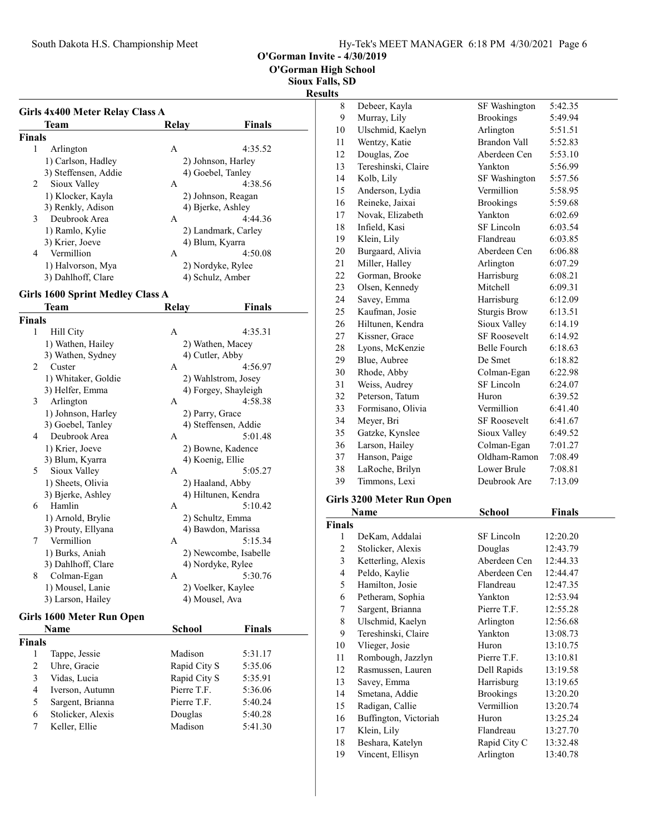| Hy-Tek's MEET MANAGER 6:18 PM 4/30/2021 Page 6 |  |  |  |
|------------------------------------------------|--|--|--|
|------------------------------------------------|--|--|--|

O'Gorman Invite - 4/30/2019

O'Gorman High School

Sioux Falls, SD

|                |                                         |                                      |                       | <b>Results</b>                             |
|----------------|-----------------------------------------|--------------------------------------|-----------------------|--------------------------------------------|
|                | Girls 4x400 Meter Relay Class A         |                                      |                       |                                            |
|                | Team                                    | <b>Relay</b>                         | <b>Finals</b>         | $\mathbf{1}$                               |
| <b>Finals</b>  |                                         |                                      |                       | $\mathbf{1}$                               |
| 1              | Arlington                               | A                                    | 4:35.52               |                                            |
|                | 1) Carlson, Hadley                      | 2) Johnson, Harley                   |                       | $\mathbf{1}$                               |
|                | 3) Steffensen, Addie                    | 4) Goebel, Tanley                    |                       | $\,1$                                      |
| 2              | Sioux Valley                            | A                                    | 4:38.56               | $\,1$                                      |
|                | 1) Klocker, Kayla                       | 2) Johnson, Reagan                   |                       | $\mathbf{1}$                               |
|                | 3) Renkly, Adison                       | 4) Bjerke, Ashley                    |                       | $\mathbf{1}$                               |
| 3              | Deubrook Area                           | A                                    | 4:44.36               | $\mathbf{1}$                               |
|                | 1) Ramlo, Kylie                         |                                      | 2) Landmark, Carley   | $\,1$                                      |
|                | 3) Krier, Joeve                         | 4) Blum, Kyarra                      |                       | $\mathbf{1}$                               |
| 4              | Vermillion                              | A                                    | 4:50.08               | $\overline{c}$                             |
|                | 1) Halvorson, Mya                       | 2) Nordyke, Rylee                    |                       | $\overline{c}$                             |
|                | 3) Dahlhoff, Clare                      | 4) Schulz, Amber                     |                       | $\overline{c}$                             |
|                |                                         |                                      |                       | $\overline{c}$                             |
|                | <b>Girls 1600 Sprint Medley Class A</b> |                                      |                       | $\overline{c}$                             |
|                | Team                                    | Relay                                | Finals                | $\overline{c}$                             |
| <b>Finals</b>  |                                         |                                      |                       | $\overline{c}$                             |
| 1              | Hill City                               | A                                    | 4:35.31               | $\overline{c}$                             |
|                | 1) Wathen, Hailey                       | 2) Wathen, Macey                     |                       |                                            |
|                | 3) Wathen, Sydney                       | 4) Cutler, Abby                      |                       |                                            |
| 2              | Custer                                  | A                                    | 4:56.97               | $\begin{array}{c} 2 \\ 2 \\ 3 \end{array}$ |
|                | 1) Whitaker, Goldie                     |                                      | 2) Wahlstrom, Josey   | $\overline{\mathbf{3}}$                    |
|                | 3) Helfer, Emma                         |                                      | 4) Forgey, Shayleigh  | $\overline{\mathbf{3}}$                    |
| 3              | Arlington                               | A                                    | 4:58.38               | $\overline{\mathbf{3}}$                    |
|                | 1) Johnson, Harley                      | 2) Parry, Grace                      |                       | $\overline{\mathbf{3}}$                    |
|                | 3) Goebel, Tanley                       |                                      | 4) Steffensen, Addie  | $\overline{\mathbf{3}}$                    |
| 4              | Deubrook Area                           | A                                    | 5:01.48               | $\overline{\mathbf{3}}$                    |
|                | 1) Krier, Joeve                         | 2) Bowne, Kadence                    |                       | $\overline{\mathbf{3}}$                    |
|                | 3) Blum, Kyarra                         | 4) Koenig, Ellie                     |                       | 3                                          |
| 5              | Sioux Valley                            | A                                    | 5:05.27               | 3                                          |
|                | 1) Sheets, Olivia                       | 2) Haaland, Abby                     |                       |                                            |
|                | 3) Bjerke, Ashley<br>Hamlin             | 4) Hiltunen, Kendra                  | 5:10.42               | Gir                                        |
| 6              |                                         | A                                    |                       |                                            |
|                | 1) Arnold, Brylie                       | 2) Schultz, Emma                     |                       | Fin                                        |
|                | 3) Prouty, Ellyana<br>Vermillion        | 4) Bawdon, Marissa                   |                       |                                            |
| 7              |                                         | A                                    | 5:15.34               |                                            |
|                | 1) Burks, Aniah<br>3) Dahlhoff, Clare   | 4) Nordyke, Rylee                    | 2) Newcombe, Isabelle |                                            |
| 8              | Colman-Egan                             | A                                    | 5:30.76               |                                            |
|                |                                         |                                      |                       |                                            |
|                | 1) Mousel, Lanie<br>3) Larson, Hailey   | 2) Voelker, Kaylee<br>4) Mousel, Ava |                       |                                            |
|                |                                         |                                      |                       |                                            |
|                | Girls 1600 Meter Run Open               |                                      |                       |                                            |
|                | Name                                    | School                               | <b>Finals</b>         |                                            |
| <b>Finals</b>  |                                         |                                      |                       | 1                                          |
| 1              | Tappe, Jessie                           | Madison                              | 5:31.17               | 1                                          |
| $\overline{c}$ | Uhre, Gracie                            | Rapid City S                         | 5:35.06               | 1                                          |
| 3              | Vidas, Lucia                            | Rapid City S                         | 5:35.91               | 1                                          |
| 4              | Iverson, Autumn                         | Pierre T.F.                          | 5:36.06               | 1                                          |
| 5              | Sargent, Brianna                        | Pierre T.F.                          | 5:40.24               | 1                                          |
| 6              | Stolicker, Alexis                       | Douglas                              | 5:40.28               | 1                                          |
| 7              | Keller, Ellie                           | Madison                              | 5:41.30               | 1                                          |

| LS. |                     |                     |         |
|-----|---------------------|---------------------|---------|
| 8   | Debeer, Kayla       | SF Washington       | 5:42.35 |
| 9   | Murray, Lily        | <b>Brookings</b>    | 5:49.94 |
| 10  | Ulschmid, Kaelyn    | Arlington           | 5:51.51 |
| 11  | Wentzy, Katie       | <b>Brandon Vall</b> | 5:52.83 |
| 12  | Douglas, Zoe        | Aberdeen Cen        | 5:53.10 |
| 13  | Tereshinski, Claire | Yankton             | 5:56.99 |
| 14  | Kolb, Lily          | SF Washington       | 5:57.56 |
| 15  | Anderson, Lydia     | Vermillion          | 5:58.95 |
| 16  | Reineke, Jaixai     | <b>Brookings</b>    | 5:59.68 |
| 17  | Novak, Elizabeth    | Yankton             | 6:02.69 |
| 18  | Infield, Kasi       | SF Lincoln          | 6:03.54 |
| 19  | Klein, Lily         | Flandreau           | 6:03.85 |
| 20  | Burgaard, Alivia    | Aberdeen Cen        | 6:06.88 |
| 21  | Miller, Halley      | Arlington           | 6:07.29 |
| 22  | Gorman, Brooke      | Harrisburg          | 6:08.21 |
| 23  | Olsen, Kennedy      | Mitchell            | 6:09.31 |
| 24  | Savey, Emma         | Harrisburg          | 6:12.09 |
| 25  | Kaufman, Josie      | <b>Sturgis Brow</b> | 6:13.51 |
| 26  | Hiltunen, Kendra    | Sioux Valley        | 6:14.19 |
| 27  | Kissner, Grace      | <b>SF Roosevelt</b> | 6:14.92 |
| 28  | Lyons, McKenzie     | <b>Belle Fourch</b> | 6:18.63 |
| 29  | Blue, Aubree        | De Smet             | 6:18.82 |
| 30  | Rhode, Abby         | Colman-Egan         | 6:22.98 |
| 31  | Weiss, Audrey       | <b>SF</b> Lincoln   | 6:24.07 |
| 32  | Peterson, Tatum     | Huron               | 6:39.52 |
| 33  | Formisano, Olivia   | Vermillion          | 6:41.40 |
| 34  | Meyer, Bri          | <b>SF Roosevelt</b> | 6:41.67 |
| 35  | Gatzke, Kynslee     | Sioux Valley        | 6:49.52 |
| 36  | Larson, Hailey      | Colman-Egan         | 7:01.27 |
| 37  | Hanson, Paige       | Oldham-Ramon        | 7:08.49 |
| 38  | LaRoche, Brilyn     | Lower Brule         | 7:08.81 |
| 39  | Timmons, Lexi       | Deubrook Are        | 7:13.09 |
|     |                     |                     |         |

# Girls 3200 Meter Run Open

|        | Name                  | School           | Finals   |
|--------|-----------------------|------------------|----------|
| Finals |                       |                  |          |
| 1      | DeKam, Addalai        | SF Lincoln       | 12:20.20 |
| 2      | Stolicker, Alexis     | Douglas          | 12:43.79 |
| 3      | Ketterling, Alexis    | Aberdeen Cen     | 12:44.33 |
| 4      | Peldo, Kaylie         | Aberdeen Cen     | 12:44.47 |
| 5      | Hamilton, Josie       | Flandreau        | 12:47.35 |
| 6      | Petheram, Sophia      | Yankton          | 12:53.94 |
| 7      | Sargent, Brianna      | Pierre T.F.      | 12:55.28 |
| 8      | Ulschmid, Kaelyn      | Arlington        | 12:56.68 |
| 9      | Tereshinski, Claire   | Yankton          | 13:08.73 |
| 10     | Vlieger, Josie        | Huron            | 13:10.75 |
| 11     | Rombough, Jazzlyn     | Pierre T.F.      | 13:10.81 |
| 12     | Rasmussen, Lauren     | Dell Rapids      | 13:19.58 |
| 13     | Savey, Emma           | Harrisburg       | 13:19.65 |
| 14     | Smetana, Addie        | <b>Brookings</b> | 13:20.20 |
| 15     | Radigan, Callie       | Vermillion       | 13:20.74 |
| 16     | Buffington, Victoriah | Huron            | 13:25.24 |
| 17     | Klein, Lily           | Flandreau        | 13:27.70 |
| 18     | Beshara, Katelyn      | Rapid City C     | 13:32.48 |
| 19     | Vincent, Ellisyn      | Arlington        | 13:40.78 |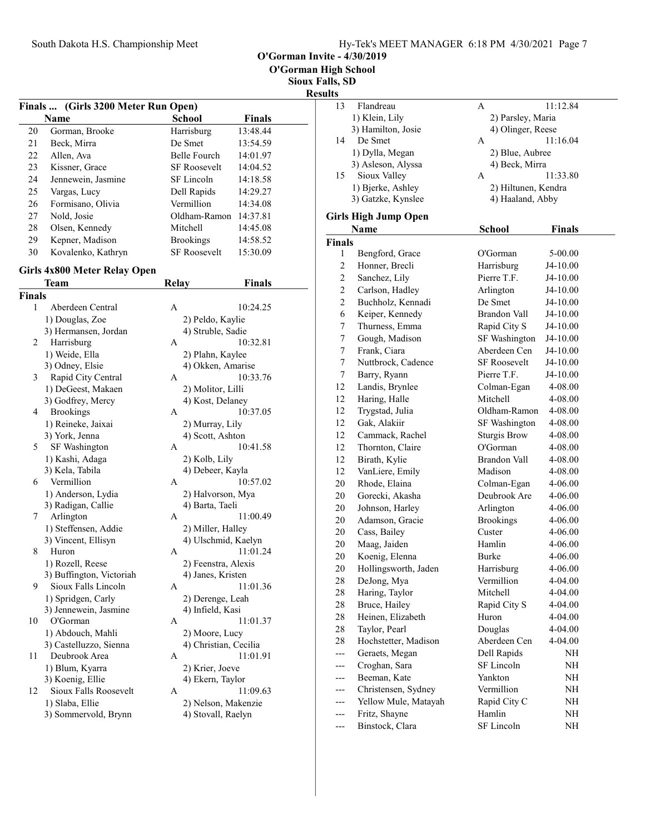O'Gorman Invite - 4/30/2019

Sioux Falls, SD Resu

|    | Finals  (Girls 3200 Meter Run Open) |                     |               |
|----|-------------------------------------|---------------------|---------------|
|    | Name                                | <b>School</b>       | <b>Finals</b> |
| 20 | Gorman, Brooke                      | Harrisburg          | 13:48.44      |
| 21 | Beck, Mirra                         | De Smet             | 13:54.59      |
| 22 | Allen, Ava                          | Belle Fourch        | 14:01.97      |
| 23 | Kissner, Grace                      | <b>SF Roosevelt</b> | 14:04.52      |
| 24 | Jennewein, Jasmine                  | SF Lincoln          | 14:18.58      |
| 25 | Vargas, Lucy                        | Dell Rapids         | 14:29.27      |
| 26 | Formisano, Olivia                   | Vermillion          | 14:34.08      |
| 27 | Nold, Josie                         | Oldham-Ramon        | 14:37.81      |
| 28 | Olsen, Kennedy                      | Mitchell            | 14:45.08      |
| 29 | Kepner, Madison                     | <b>Brookings</b>    | 14:58.52      |
| 30 | Kovalenko, Kathryn                  | <b>SF Roosevelt</b> | 15:30.09      |

# Girls 4x800 Meter Relay Open

|               | Team                     | <b>Relay</b> | <b>Finals</b>         |  |
|---------------|--------------------------|--------------|-----------------------|--|
| <b>Finals</b> |                          |              |                       |  |
| 1             | Aberdeen Central         | А            | 10:24.25              |  |
|               | 1) Douglas, Zoe          |              | 2) Peldo, Kaylie      |  |
|               | 3) Hermansen, Jordan     |              | 4) Struble, Sadie     |  |
| 2             | Harrisburg               | A            | 10:32.81              |  |
|               | 1) Weide, Ella           |              | 2) Plahn, Kaylee      |  |
|               | 3) Odney, Elsie          |              | 4) Okken, Amarise     |  |
| 3             | Rapid City Central       | A            | 10:33.76              |  |
|               | 1) DeGeest, Makaen       |              | 2) Molitor, Lilli     |  |
|               | 3) Godfrey, Mercy        |              | 4) Kost, Delaney      |  |
| 4             | <b>Brookings</b>         | A            | 10:37.05              |  |
|               | 1) Reineke, Jaixai       |              | 2) Murray, Lily       |  |
|               | 3) York, Jenna           |              | 4) Scott, Ashton      |  |
| 5             | SF Washington            | A            | 10:41.58              |  |
|               | 1) Kashi, Adaga          |              | 2) Kolb, Lily         |  |
|               | 3) Kela, Tabila          |              | 4) Debeer, Kayla      |  |
| 6             | Vermillion               | A            | 10:57.02              |  |
|               | 1) Anderson, Lydia       |              | 2) Halvorson, Mya     |  |
|               | 3) Radigan, Callie       |              | 4) Barta, Taeli       |  |
| 7             | Arlington                | $\mathsf{A}$ | 11:00.49              |  |
|               | 1) Steffensen, Addie     |              | 2) Miller, Halley     |  |
|               | 3) Vincent, Ellisyn      |              | 4) Ulschmid, Kaelyn   |  |
| 8             | Huron                    | A            | 11:01.24              |  |
|               | 1) Rozell, Reese         |              | 2) Feenstra, Alexis   |  |
|               | 3) Buffington, Victoriah |              | 4) Janes, Kristen     |  |
| 9             | Sioux Falls Lincoln      | A            | 11:01.36              |  |
|               | 1) Spridgen, Carly       |              | 2) Derenge, Leah      |  |
|               | 3) Jennewein, Jasmine    |              | 4) Infield, Kasi      |  |
| 10            | O'Gorman                 | A            | 11:01.37              |  |
|               | 1) Abdouch, Mahli        |              | 2) Moore, Lucy        |  |
|               | 3) Castelluzzo, Sienna   |              | 4) Christian, Cecilia |  |
| 11            | Deubrook Area            | A            | 11:01.91              |  |
|               | 1) Blum, Kyarra          |              | 2) Krier, Joeve       |  |
|               | 3) Koenig, Ellie         |              | 4) Ekern, Taylor      |  |
| 12            | Sioux Falls Roosevelt    | A            | 11:09.63              |  |
|               | 1) Slaba, Ellie          |              | 2) Nelson, Makenzie   |  |
|               | 3) Sommervold, Brynn     |              | 4) Stovall, Raelyn    |  |
|               |                          |              |                       |  |

| 1118, Ə <i>d</i> |                             |                     |               |  |
|------------------|-----------------------------|---------------------|---------------|--|
| ılts<br>13       | Flandreau                   | A                   | 11:12.84      |  |
|                  | 1) Klein, Lily              | 2) Parsley, Maria   |               |  |
|                  | 3) Hamilton, Josie          | 4) Olinger, Reese   |               |  |
| 14               | De Smet                     | A                   | 11:16.04      |  |
|                  | 1) Dylla, Megan             | 2) Blue, Aubree     |               |  |
|                  | 3) Asleson, Alyssa          | 4) Beck, Mirra      |               |  |
| 15               | Sioux Valley                | A                   | 11:33.80      |  |
|                  | 1) Bjerke, Ashley           | 2) Hiltunen, Kendra |               |  |
|                  | 3) Gatzke, Kynslee          | 4) Haaland, Abby    |               |  |
|                  |                             |                     |               |  |
|                  | <b>Girls High Jump Open</b> |                     |               |  |
|                  | Name                        | <b>School</b>       | <b>Finals</b> |  |
| <b>Finals</b>    |                             |                     |               |  |
| 1                | Bengford, Grace             | O'Gorman            | 5-00.00       |  |
| $\overline{c}$   | Honner, Brecli              | Harrisburg          | J4-10.00      |  |
| $\overline{c}$   | Sanchez, Lily               | Pierre T.F.         | J4-10.00      |  |
| $\overline{c}$   | Carlson, Hadley             | Arlington           | J4-10.00      |  |
| $\mathfrak{2}$   | Buchholz, Kennadi           | De Smet             | J4-10.00      |  |
| 6                | Keiper, Kennedy             | <b>Brandon Vall</b> | J4-10.00      |  |
| 7                | Thurness, Emma              | Rapid City S        | J4-10.00      |  |
| 7                | Gough, Madison              | SF Washington       | J4-10.00      |  |
| 7                | Frank, Ciara                | Aberdeen Cen        | J4-10.00      |  |
| 7                | Nuttbrock, Cadence          | <b>SF Roosevelt</b> | J4-10.00      |  |
| 7                | Barry, Ryann                | Pierre T.F.         | J4-10.00      |  |
| 12               | Landis, Brynlee             | Colman-Egan         | 4-08.00       |  |
| 12               | Haring, Halle               | Mitchell            | 4-08.00       |  |
| 12               | Trygstad, Julia             | Oldham-Ramon        | 4-08.00       |  |
| 12               | Gak, Alakiir                | SF Washington       | 4-08.00       |  |
| 12               | Cammack, Rachel             | <b>Sturgis Brow</b> | 4-08.00       |  |
| 12               | Thornton, Claire            | O'Gorman            | 4-08.00       |  |
| 12               | Birath, Kylie               | <b>Brandon Vall</b> | 4-08.00       |  |
| 12               | VanLiere, Emily             | Madison             | 4-08.00       |  |
| 20               | Rhode, Elaina               | Colman-Egan         | 4-06.00       |  |
| 20               | Gorecki, Akasha             | Deubrook Are        | 4-06.00       |  |
| 20               | Johnson, Harley             | Arlington           | 4-06.00       |  |
| 20               | Adamson, Gracie             | <b>Brookings</b>    | 4-06.00       |  |
| 20               | Cass, Bailey                | Custer              | 4-06.00       |  |
| 20               | Maag, Jaiden                | Hamlin              | 4-06.00       |  |
| 20               | Koenig, Elenna              | Burke               | 4-06.00       |  |
| 20               | Hollingsworth, Jaden        | Harrisburg          | 4-06.00       |  |
| 28               | DeJong, Mya                 | Vermillion          | 4-04.00       |  |
| 28               | Haring, Taylor              | Mitchell            | 4-04.00       |  |
| 28               | Bruce, Hailey               | Rapid City S        | 4-04.00       |  |
| 28               | Heinen, Elizabeth           | Huron               | 4-04.00       |  |
| 28               | Taylor, Pearl               | Douglas             | 4-04.00       |  |
| 28               | Hochstetter, Madison        | Aberdeen Cen        | 4-04.00       |  |
| $---$            | Geraets, Megan              | Dell Rapids         | NH            |  |
|                  | Croghan, Sara               | SF Lincoln          | NH            |  |
| ---              | Beeman, Kate                | Yankton             | NH            |  |
| ---              | Christensen, Sydney         | Vermillion          | NH            |  |
|                  | Yellow Mule, Matayah        | Rapid City C        | NH            |  |
|                  | Fritz, Shayne               | Hamlin              | NH            |  |
| ---              | Binstock, Clara             | SF Lincoln          | NH            |  |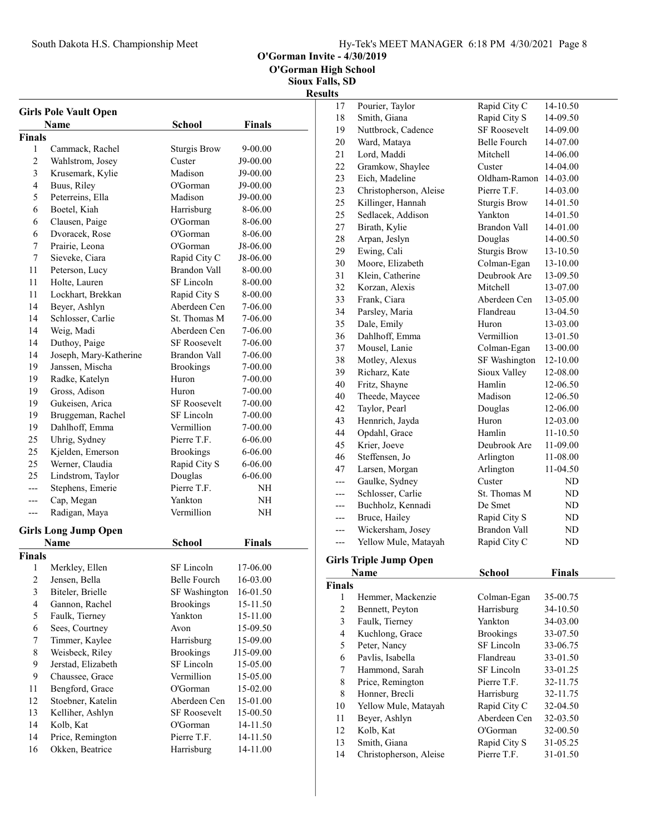|  | Hy-Tek's MEET MANAGER 6:18 PM 4/30/2021 Page 8 |  |  |
|--|------------------------------------------------|--|--|
|  |                                                |  |  |

O'Gorman Invite - 4/30/2019

O'Gorman High School

Sioux Falls, SD Results

|                         | <b>Girls Pole Vault Open</b><br>Name | <b>School</b>                | <b>Finals</b> |
|-------------------------|--------------------------------------|------------------------------|---------------|
| <b>Finals</b>           |                                      |                              |               |
| 1                       | Cammack, Rachel                      | <b>Sturgis Brow</b>          | 9-00.00       |
| $\overline{2}$          | Wahlstrom, Josey                     | Custer                       | J9-00.00      |
| 3                       | Krusemark, Kylie                     | Madison                      | J9-00.00      |
| 4                       | Buus, Riley                          | O'Gorman                     | J9-00.00      |
| 5                       | Peterreins, Ella                     | Madison                      | J9-00.00      |
| 6                       | Boetel, Kiah                         | Harrisburg                   | 8-06.00       |
| 6                       | Clausen, Paige                       | O'Gorman                     | 8-06.00       |
| 6                       | Dvoracek, Rose                       | O'Gorman                     | 8-06.00       |
| 7                       | Prairie, Leona                       | O'Gorman                     | J8-06.00      |
| 7                       | Sieveke, Ciara                       | Rapid City C                 | J8-06.00      |
| 11                      | Peterson, Lucy                       | Brandon Vall                 | 8-00.00       |
|                         |                                      | SF Lincoln                   |               |
| 11                      | Holte, Lauren                        |                              | 8-00.00       |
| 11                      | Lockhart, Brekkan                    | Rapid City S<br>Aberdeen Cen | 8-00.00       |
| 14                      | Beyer, Ashlyn                        |                              | 7-06.00       |
| 14                      | Schlosser, Carlie                    | St. Thomas M                 | 7-06.00       |
| 14                      | Weig, Madi                           | Aberdeen Cen                 | 7-06.00       |
| 14                      | Duthoy, Paige                        | <b>SF Roosevelt</b>          | 7-06.00       |
| 14                      | Joseph, Mary-Katherine               | Brandon Vall                 | 7-06.00       |
| 19                      | Janssen, Mischa                      | <b>Brookings</b>             | 7-00.00       |
| 19                      | Radke, Katelyn                       | Huron                        | 7-00.00       |
| 19                      | Gross, Adison                        | Huron                        | 7-00.00       |
| 19                      | Gukeisen, Arica                      | <b>SF Roosevelt</b>          | 7-00.00       |
| 19                      | Bruggeman, Rachel                    | SF Lincoln                   | 7-00.00       |
| 19                      | Dahlhoff, Emma                       | Vermillion                   | 7-00.00       |
| 25                      | Uhrig, Sydney                        | Pierre T.F.                  | 6-06.00       |
| 25                      | Kjelden, Emerson                     | <b>Brookings</b>             | 6-06.00       |
| 25                      | Werner, Claudia                      | Rapid City S                 | 6-06.00       |
| 25                      | Lindstrom, Taylor                    | Douglas                      | 6-06.00       |
| ---                     | Stephens, Emerie                     | Pierre T.F.                  | NH            |
| ---                     | Cap, Megan                           | Yankton                      | NΗ            |
| ---                     | Radigan, Maya                        | Vermillion                   | NΗ            |
|                         | <b>Girls Long Jump Open</b>          |                              |               |
|                         | Name                                 | School                       | <b>Finals</b> |
| <b>Finals</b>           |                                      |                              |               |
| $\mathbf{1}$            | Merkley, Ellen                       | SF Lincoln                   | 17-06.00      |
| 2                       | Jensen, Bella                        | <b>Belle Fourch</b>          | 16-03.00      |
| 3                       | Biteler, Brielle                     | SF Washington                | 16-01.50      |
| $\overline{\mathbf{4}}$ | Gannon, Rachel                       | <b>Brookings</b>             | 15-11.50      |
| 5                       | Faulk, Tierney                       | Yankton                      | 15-11.00      |
| 6                       | Sees, Courtney                       | Avon                         | 15-09.50      |
| 7                       | Timmer, Kaylee                       | Harrisburg                   | 15-09.00      |
| 8                       | Weisbeck, Riley                      | <b>Brookings</b>             | J15-09.00     |
| 9                       | Jerstad, Elizabeth                   | SF Lincoln                   | 15-05.00      |
| 9                       | Chaussee, Grace                      | Vermillion                   | 15-05.00      |
| 11                      | Bengford, Grace                      | O'Gorman                     | 15-02.00      |
| 12                      | Stoebner, Katelin                    | Aberdeen Cen                 | 15-01.00      |
| 13                      | Kelliher, Ashlyn                     | SF Roosevelt                 | 15-00.50      |
| 14                      | Kolb, Kat                            | O'Gorman                     | 14-11.50      |
| 14                      | Price, Remington                     | Pierre T.F.                  | 14-11.50      |
| 16                      | Okken, Beatrice                      | Harrisburg                   | 14-11.00      |

| 17<br>18<br>19 | Pourier, Taylor<br>Smith, Giana | Rapid City C        | 14-10.50      |
|----------------|---------------------------------|---------------------|---------------|
|                |                                 |                     |               |
|                |                                 | Rapid City S        | 14-09.50      |
|                | Nuttbrock, Cadence              | <b>SF Roosevelt</b> | 14-09.00      |
| 20             | Ward, Mataya                    | <b>Belle Fourch</b> | 14-07.00      |
| 21             | Lord, Maddi                     | Mitchell            | 14-06.00      |
| 22             | Gramkow, Shaylee                | Custer              | 14-04.00      |
| 23             | Eich, Madeline                  | Oldham-Ramon        | 14-03.00      |
| 23             | Christopherson, Aleise          | Pierre T.F.         | 14-03.00      |
| 25             | Killinger, Hannah               | <b>Sturgis Brow</b> | 14-01.50      |
| 25             | Sedlacek, Addison               | Yankton             | 14-01.50      |
| 27             | Birath, Kylie                   | Brandon Vall        | 14-01.00      |
| 28             | Arpan, Jeslyn                   | Douglas             | 14-00.50      |
| 29             | Ewing, Cali                     | <b>Sturgis Brow</b> | 13-10.50      |
| 30             | Moore, Elizabeth                | Colman-Egan         | 13-10.00      |
| 31             | Klein, Catherine                | Deubrook Are        | 13-09.50      |
| 32             | Korzan, Alexis                  | Mitchell            | 13-07.00      |
| 33             | Frank, Ciara                    | Aberdeen Cen        | 13-05.00      |
| 34             | Parsley, Maria                  | Flandreau           | 13-04.50      |
| 35             | Dale, Emily                     | Huron               | 13-03.00      |
| 36             | Dahlhoff, Emma                  | Vermillion          | 13-01.50      |
| 37             | Mousel, Lanie                   | Colman-Egan         | 13-00.00      |
| 38             | Motley, Alexus                  | SF Washington       | 12-10.00      |
| 39             | Richarz, Kate                   | Sioux Valley        | 12-08.00      |
| 40             | Fritz, Shayne                   | Hamlin              | 12-06.50      |
| 40             | Theede, Maycee                  | Madison             | 12-06.50      |
| 42             | Taylor, Pearl                   | Douglas             | 12-06.00      |
| 43             | Hennrich, Jayda                 | Huron               | 12-03.00      |
| 44             | Opdahl, Grace                   | Hamlin              | 11-10.50      |
| 45             | Krier, Joeve                    | Deubrook Are        | 11-09.00      |
| 46             | Steffensen, Jo                  | Arlington           | 11-08.00      |
| 47             | Larsen, Morgan                  | Arlington           | 11-04.50      |
| ---            | Gaulke, Sydney                  | Custer              | ND            |
| ---            | Schlosser, Carlie               | St. Thomas M        | ND            |
| ---            | Buchholz, Kennadi               | De Smet             | ND            |
| $---$          | Bruce, Hailey                   | Rapid City S        | ND            |
| ---            | Wickersham, Josey               | <b>Brandon Vall</b> | ND            |
| $---$          | Yellow Mule, Matayah            | Rapid City C        | ND            |
|                | <b>Girls Triple Jump Open</b>   |                     |               |
|                | <b>Name</b>                     | <b>School</b>       | <b>Finals</b> |
| <b>Finals</b>  |                                 |                     |               |
| 1              | Hemmer, Mackenzie               | Colman-Egan         | 35-00.75      |
|                | Bennett, Peyton                 | Harrisburg          | 34-10.50      |

| 3  | Faulk, Tierney         | Yankton          | 34-03.00 |
|----|------------------------|------------------|----------|
| 4  | Kuchlong, Grace        | <b>Brookings</b> | 33-07.50 |
| 5  | Peter, Nancy           | SF Lincoln       | 33-06.75 |
| 6  | Pavlis, Isabella       | Flandreau        | 33-01.50 |
| 7  | Hammond, Sarah         | SF Lincoln       | 33-01.25 |
| 8  | Price, Remington       | Pierre T.F.      | 32-11.75 |
| 8  | Honner, Brecli         | Harrisburg       | 32-11.75 |
| 10 | Yellow Mule, Matayah   | Rapid City C     | 32-04.50 |
| 11 | Beyer, Ashlyn          | Aberdeen Cen     | 32-03.50 |
| 12 | Kolb, Kat              | O'Gorman         | 32-00.50 |
| 13 | Smith, Giana           | Rapid City S     | 31-05.25 |
| 14 | Christopherson, Aleise | Pierre T.F.      | 31-01.50 |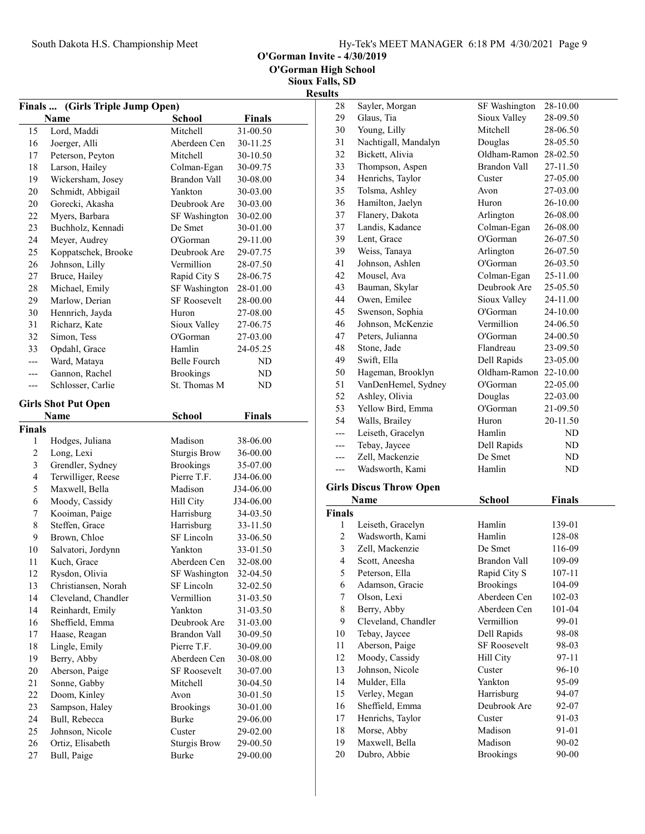O'Gorman Invite - 4/30/2019

Sioux Falls, SD Results

| <b>Finals </b> | (Girls Triple Jump Open)            |                               |                      |
|----------------|-------------------------------------|-------------------------------|----------------------|
|                | Name                                | <b>School</b>                 | <b>Finals</b>        |
| 15             | Lord, Maddi                         | Mitchell                      | 31-00.50             |
| 16             | Joerger, Alli                       | Aberdeen Cen                  | 30-11.25             |
| 17             | Peterson, Peyton                    | Mitchell                      | 30-10.50             |
| 18             | Larson, Hailey                      | Colman-Egan                   | 30-09.75             |
| 19             | Wickersham, Josey                   | Brandon Vall                  | 30-08.00             |
| 20             | Schmidt, Abbigail                   | Yankton                       | 30-03.00             |
| 20             | Gorecki, Akasha                     | Deubrook Are                  | 30-03.00             |
| 22             | Myers, Barbara                      | SF Washington                 | 30-02.00             |
| 23             | Buchholz, Kennadi                   | De Smet                       | 30-01.00             |
| 24             | Meyer, Audrey                       | O'Gorman                      | 29-11.00             |
| 25             | Koppatschek, Brooke                 | Deubrook Are                  | 29-07.75             |
| 26             | Johnson, Lilly                      | Vermillion                    | 28-07.50             |
| 27             | Bruce, Hailey                       | Rapid City S                  | 28-06.75             |
| 28             | Michael, Emily                      | SF Washington                 | 28-01.00             |
| 29             | Marlow, Derian                      | <b>SF Roosevelt</b>           | 28-00.00             |
| 30             | Hennrich, Jayda                     | Huron                         | 27-08.00             |
| 31             | Richarz, Kate                       | Sioux Valley                  | 27-06.75             |
| 32             | Simon, Tess                         | O'Gorman                      | 27-03.00             |
| 33             | Opdahl, Grace                       | Hamlin                        | 24-05.25             |
| ---            | Ward, Mataya                        | <b>Belle Fourch</b>           | ND                   |
| ---            | Gannon, Rachel                      | <b>Brookings</b>              | ND                   |
| ---            | Schlosser, Carlie                   | St. Thomas M                  | ND                   |
|                |                                     |                               |                      |
|                | <b>Girls Shot Put Open</b>          |                               |                      |
| <b>Finals</b>  | Name                                | <b>School</b>                 | <b>Finals</b>        |
|                |                                     |                               |                      |
|                |                                     |                               |                      |
| 1              | Hodges, Juliana                     | Madison                       | 38-06.00             |
| $\mathfrak{2}$ | Long, Lexi                          | <b>Sturgis Brow</b>           | 36-00.00             |
| 3              | Grendler, Sydney                    | <b>Brookings</b>              | 35-07.00             |
| 4              | Terwilliger, Reese                  | Pierre T.F.                   | J34-06.00            |
| 5              | Maxwell, Bella                      | Madison                       | J34-06.00            |
| 6              | Moody, Cassidy                      | Hill City                     | J34-06.00            |
| 7              | Kooiman, Paige                      | Harrisburg                    | 34-03.50             |
| 8              | Steffen, Grace                      | Harrisburg                    | 33-11.50             |
| 9              | Brown, Chloe                        | SF Lincoln                    | 33-06.50             |
| 10             | Salvatori, Jordynn                  | Yankton                       | 33-01.50             |
| 11             | Kuch, Grace                         | Aberdeen Cen                  | 32-08.00             |
| 12             | Rysdon, Olivia                      | SF Washington                 | 32-04.50             |
| 13             | Christiansen, Norah                 | SF Lincoln                    | 32-02.50             |
| 14             | Cleveland, Chandler                 | Vermillion                    | 31-03.50             |
| 14             | Reinhardt, Emily                    | Yankton                       | 31-03.50             |
| 16             | Sheffield, Emma                     | Deubrook Are                  | 31-03.00             |
| 17             | Haase, Reagan                       | Brandon Vall                  | 30-09.50             |
| 18             | Lingle, Emily                       | Pierre T.F.                   | 30-09.00             |
| 19             | Berry, Abby                         | Aberdeen Cen                  | 30-08.00             |
| 20             | Aberson, Paige                      | SF Roosevelt                  | 30-07.00             |
| 21             | Sonne, Gabby                        | Mitchell                      | 30-04.50             |
| 22             | Doom, Kinley                        | Avon                          | 30-01.50             |
| 23             | Sampson, Haley                      | <b>Brookings</b>              | 30-01.00             |
| 24             | Bull, Rebecca                       | Burke                         | 29-06.00             |
| 25<br>26       | Johnson, Nicole<br>Ortiz, Elisabeth | Custer<br><b>Sturgis Brow</b> | 29-02.00<br>29-00.50 |

| ᅼ   |                      |                     |          |
|-----|----------------------|---------------------|----------|
| 28  | Sayler, Morgan       | SF Washington       | 28-10.00 |
| 29  | Glaus, Tia           | Sioux Valley        | 28-09.50 |
| 30  | Young, Lilly         | Mitchell            | 28-06.50 |
| 31  | Nachtigall, Mandalyn | Douglas             | 28-05.50 |
| 32  | Bickett, Alivia      | Oldham-Ramon        | 28-02.50 |
| 33  | Thompson, Aspen      | <b>Brandon Vall</b> | 27-11.50 |
| 34  | Henrichs, Taylor     | Custer              | 27-05.00 |
| 35  | Tolsma, Ashley       | Avon                | 27-03.00 |
| 36  | Hamilton, Jaelyn     | Huron               | 26-10.00 |
| 37  | Flanery, Dakota      | Arlington           | 26-08.00 |
| 37  | Landis, Kadance      | Colman-Egan         | 26-08.00 |
| 39  | Lent, Grace          | O'Gorman            | 26-07.50 |
| 39  | Weiss, Tanaya        | Arlington           | 26-07.50 |
| 41  | Johnson, Ashlen      | O'Gorman            | 26-03.50 |
| 42  | Mousel, Ava          | Colman-Egan         | 25-11.00 |
| 43  | Bauman, Skylar       | Deubrook Are        | 25-05.50 |
| 44  | Owen, Emilee         | Sioux Valley        | 24-11.00 |
| 45  | Swenson, Sophia      | O'Gorman            | 24-10.00 |
| 46  | Johnson, McKenzie    | Vermillion          | 24-06.50 |
| 47  | Peters, Julianna     | O'Gorman            | 24-00.50 |
| 48  | Stone, Jade          | Flandreau           | 23-09.50 |
| 49  | Swift, Ella          | Dell Rapids         | 23-05.00 |
| 50  | Hageman, Brooklyn    | Oldham-Ramon        | 22-10.00 |
| 51  | VanDenHemel, Sydney  | O'Gorman            | 22-05.00 |
| 52  | Ashley, Olivia       | Douglas             | 22-03.00 |
| 53  | Yellow Bird, Emma    | O'Gorman            | 21-09.50 |
| 54  | Walls, Brailey       | Huron               | 20-11.50 |
| --- | Leiseth, Gracelyn    | Hamlin              | ND       |
| --- | Tebay, Jaycee        | Dell Rapids         | ND       |
| --- | Zell, Mackenzie      | De Smet             | ND       |
| --- | Wadsworth, Kami      | Hamlin              | ND       |
|     |                      |                     |          |

# Girls Discus Throw Open

|        | Name                | School              | <b>Finals</b> |  |
|--------|---------------------|---------------------|---------------|--|
| Finals |                     |                     |               |  |
| 1      | Leiseth, Gracelyn   | Hamlin              | 139-01        |  |
| 2      | Wadsworth, Kami     | Hamlin              | 128-08        |  |
| 3      | Zell, Mackenzie     | De Smet             | 116-09        |  |
| 4      | Scott, Aneesha      | Brandon Vall        | 109-09        |  |
| 5      | Peterson, Ella      | Rapid City S        | 107-11        |  |
| 6      | Adamson, Gracie     | <b>Brookings</b>    | 104-09        |  |
| 7      | Olson, Lexi         | Aberdeen Cen        | 102-03        |  |
| 8      | Berry, Abby         | Aberdeen Cen        | 101-04        |  |
| 9      | Cleveland, Chandler | Vermillion          | 99-01         |  |
| 10     | Tebay, Jaycee       | Dell Rapids         | 98-08         |  |
| 11     | Aberson, Paige      | <b>SF Roosevelt</b> | 98-03         |  |
| 12     | Moody, Cassidy      | Hill City           | 97-11         |  |
| 13     | Johnson, Nicole     | Custer              | 96-10         |  |
| 14     | Mulder, Ella        | Yankton             | 95-09         |  |
| 15     | Verley, Megan       | Harrisburg          | 94-07         |  |
| 16     | Sheffield, Emma     | Deubrook Are        | 92-07         |  |
| 17     | Henrichs, Taylor    | Custer              | 91-03         |  |
| 18     | Morse, Abby         | Madison             | 91-01         |  |
| 19     | Maxwell, Bella      | Madison             | 90-02         |  |
| 20     | Dubro, Abbie        | <b>Brookings</b>    | 90-00         |  |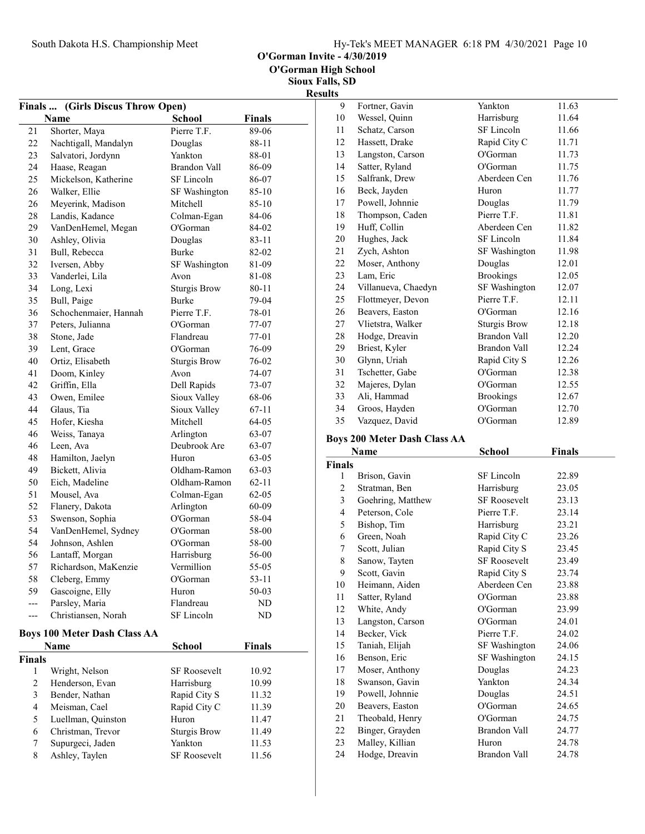O'Gorman Invite - 4/30/2019

Sioux Falls, SD **Results** 

|                | Finals  (Girls Discus Throw Open)   |                     |               |  |
|----------------|-------------------------------------|---------------------|---------------|--|
|                | Name                                | <b>School</b>       | <b>Finals</b> |  |
| 21             | Shorter, Maya                       | Pierre T.F.         | 89-06         |  |
| 22             | Nachtigall, Mandalyn                | Douglas             | 88-11         |  |
| 23             | Salvatori, Jordynn                  | Yankton             | 88-01         |  |
| 24             | Haase, Reagan                       | <b>Brandon Vall</b> | 86-09         |  |
| 25             | Mickelson, Katherine                | SF Lincoln          | 86-07         |  |
| 26             | Walker, Ellie                       | SF Washington       | 85-10         |  |
| 26             | Meyerink, Madison                   | Mitchell            | 85-10         |  |
| 28             | Landis, Kadance                     | Colman-Egan         | 84-06         |  |
| 29             | VanDenHemel, Megan                  | O'Gorman            | 84-02         |  |
| 30             | Ashley, Olivia                      | Douglas             | 83-11         |  |
| 31             | Bull, Rebecca                       | Burke               | 82-02         |  |
| 32             | Iversen, Abby                       | SF Washington       | 81-09         |  |
| 33             | Vanderlei, Lila                     | Avon                | 81-08         |  |
| 34             | Long, Lexi                          | <b>Sturgis Brow</b> | 80-11         |  |
| 35             | Bull, Paige                         | <b>Burke</b>        | 79-04         |  |
| 36             | Schochenmaier, Hannah               | Pierre T.F.         | 78-01         |  |
| 37             | Peters, Julianna                    | O'Gorman            | 77-07         |  |
| 38             | Stone, Jade                         | Flandreau           | 77-01         |  |
| 39             | Lent, Grace                         | O'Gorman            | 76-09         |  |
| 40             | Ortiz, Elisabeth                    | <b>Sturgis Brow</b> | 76-02         |  |
| 41             | Doom, Kinley                        | Avon                | 74-07         |  |
| 42             | Griffin, Ella                       | Dell Rapids         | 73-07         |  |
| 43             | Owen, Emilee                        | Sioux Valley        | 68-06         |  |
| 44             | Glaus, Tia                          | Sioux Valley        | 67-11         |  |
| 45             | Hofer, Kiesha                       | Mitchell            | 64-05         |  |
| 46             | Weiss, Tanaya                       | Arlington           | 63-07         |  |
| 46             | Leen, Ava                           | Deubrook Are        | 63-07         |  |
| 48             | Hamilton, Jaelyn                    | Huron               | 63-05         |  |
| 49             | Bickett, Alivia                     | Oldham-Ramon        | 63-03         |  |
| 50             | Eich, Madeline                      | Oldham-Ramon        | $62 - 11$     |  |
| 51             | Mousel, Ava                         | Colman-Egan         | $62 - 05$     |  |
| 52             | Flanery, Dakota                     | Arlington           | 60-09         |  |
| 53             | Swenson, Sophia                     | O'Gorman            | 58-04         |  |
| 54             | VanDenHemel, Sydney                 | O'Gorman            | 58-00         |  |
| 54             | Johnson, Ashlen                     | O'Gorman            | 58-00         |  |
| 56             | Lantaff, Morgan                     | Harrisburg          | 56-00         |  |
| 57             | Richardson, MaKenzie                | Vermillion          | 55-05         |  |
| 58             | Cleberg, Emmy                       | O'Gorman            | 53-11         |  |
| 59             | Gascoigne, Elly                     | Huron               | 50-03         |  |
| ---            | Parsley, Maria                      | Flandreau           | ND            |  |
| $-$            | Christiansen, Norah                 | SF Lincoln          | ND            |  |
|                | <b>Boys 100 Meter Dash Class AA</b> |                     |               |  |
|                | Name                                | School              | Finals        |  |
| Finals         |                                     |                     |               |  |
| 1              | Wright, Nelson                      | SF Roosevelt        | 10.92         |  |
| $\overline{c}$ | Henderson, Evan                     | Harrisburg          | 10.99         |  |
| $\mathfrak{Z}$ | Bender, Nathan                      | Rapid City S        | 11.32         |  |
| $\overline{4}$ | Meisman, Cael                       | Rapid City C        | 11.39         |  |
| 5              | Luellman, Quinston                  | Huron               | 11.47         |  |
| 6              | Christman, Trevor                   | <b>Sturgis Brow</b> | 11.49         |  |
| 7              | Supurgeci, Jaden                    | Yankton             | 11.53         |  |
| 8              | Ashley, Taylen                      | SF Roosevelt        | 11.56         |  |

| 9  | Fortner, Gavin      | Yankton              | 11.63 |
|----|---------------------|----------------------|-------|
| 10 | Wessel, Quinn       | Harrisburg           | 11.64 |
| 11 | Schatz, Carson      | SF Lincoln           | 11.66 |
| 12 | Hassett, Drake      | Rapid City C         | 11.71 |
| 13 | Langston, Carson    | O'Gorman             | 11.73 |
| 14 | Satter, Ryland      | O'Gorman             | 11.75 |
| 15 | Salfrank, Drew      | Aberdeen Cen         | 11.76 |
| 16 | Beck, Jayden        | Huron                | 11.77 |
| 17 | Powell, Johnnie     | Douglas              | 11.79 |
| 18 | Thompson, Caden     | Pierre T.F.          | 11.81 |
| 19 | Huff, Collin        | Aberdeen Cen         | 11.82 |
| 20 | Hughes, Jack        | SF Lincoln           | 11.84 |
| 21 | Zych, Ashton        | <b>SF</b> Washington | 11.98 |
| 22 | Moser, Anthony      | Douglas              | 12.01 |
| 23 | Lam, Eric           | <b>Brookings</b>     | 12.05 |
| 24 | Villanueva, Chaedyn | SF Washington        | 12.07 |
| 25 | Flottmeyer, Devon   | Pierre T.F.          | 12.11 |
| 26 | Beavers, Easton     | O'Gorman             | 12.16 |
| 27 | Vlietstra, Walker   | <b>Sturgis Brow</b>  | 12.18 |
| 28 | Hodge, Dreavin      | Brandon Vall         | 12.20 |
| 29 | Briest, Kyler       | Brandon Vall         | 12.24 |
| 30 | Glynn, Uriah        | Rapid City S         | 12.26 |
| 31 | Tschetter, Gabe     | O'Gorman             | 12.38 |
| 32 | Majeres, Dylan      | O'Gorman             | 12.55 |
| 33 | Ali, Hammad         | <b>Brookings</b>     | 12.67 |
| 34 | Groos, Hayden       | O'Gorman             | 12.70 |
| 35 | Vazquez, David      | O'Gorman             | 12.89 |

## Boys 200 Meter Dash Class AA

|                | Name              | School               | Finals |  |
|----------------|-------------------|----------------------|--------|--|
| Finals         |                   |                      |        |  |
| 1              | Brison, Gavin     | SF Lincoln           | 22.89  |  |
| $\overline{2}$ | Stratman, Ben     | Harrisburg           | 23.05  |  |
| 3              | Goehring, Matthew | <b>SF Roosevelt</b>  | 23.13  |  |
| 4              | Peterson, Cole    | Pierre T.F.          | 23.14  |  |
| 5              | Bishop, Tim       | Harrisburg           | 23.21  |  |
| 6              | Green, Noah       | Rapid City C         | 23.26  |  |
| 7              | Scott, Julian     | Rapid City S         | 23.45  |  |
| 8              | Sanow, Tayten     | <b>SF Roosevelt</b>  | 23.49  |  |
| 9              | Scott, Gavin      | Rapid City S         | 23.74  |  |
| 10             | Heimann, Aiden    | Aberdeen Cen         | 23.88  |  |
| 11             | Satter, Ryland    | O'Gorman             | 23.88  |  |
| 12             | White, Andy       | O'Gorman             | 23.99  |  |
| 13             | Langston, Carson  | O'Gorman             | 24.01  |  |
| 14             | Becker, Vick      | Pierre T.F.          | 24.02  |  |
| 15             | Taniah, Elijah    | <b>SF</b> Washington | 24.06  |  |
| 16             | Benson, Eric      | <b>SF</b> Washington | 24.15  |  |
| 17             | Moser, Anthony    | Douglas              | 24.23  |  |
| 18             | Swanson, Gavin    | Yankton              | 24.34  |  |
| 19             | Powell, Johnnie   | Douglas              | 24.51  |  |
| 20             | Beavers, Easton   | O'Gorman             | 24.65  |  |
| 21             | Theobald, Henry   | O'Gorman             | 24.75  |  |
| 22             | Binger, Grayden   | Brandon Vall         | 24.77  |  |
| 23             | Malley, Killian   | Huron                | 24.78  |  |
| 24             | Hodge, Dreavin    | <b>Brandon Vall</b>  | 24.78  |  |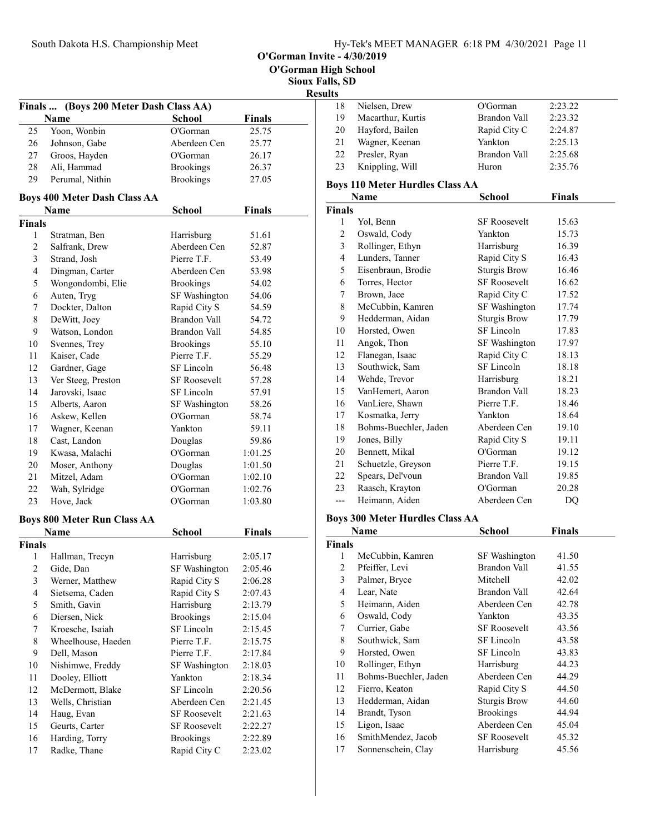O'Gorman High School

Sioux Falls, SD

# **Results**

| .  |                   |              |         |
|----|-------------------|--------------|---------|
| 18 | Nielsen, Drew     | O'Gorman     | 2:23.22 |
| 19 | Macarthur, Kurtis | Brandon Vall | 2:23.32 |
| 20 | Hayford, Bailen   | Rapid City C | 2:24.87 |
| 21 | Wagner, Keenan    | Yankton      | 2:25.13 |
| 22 | Presler, Ryan     | Brandon Vall | 2:25.68 |
| 23 | Knippling, Will   | Huron        | 2:35.76 |
|    |                   |              |         |

## Boys 110 Meter Hurdles Class AA

|                | Name                  | School               | Finals |
|----------------|-----------------------|----------------------|--------|
| <b>Finals</b>  |                       |                      |        |
| $\mathbf{1}$   | Yol, Benn             | <b>SF Roosevelt</b>  | 15.63  |
| $\overline{2}$ | Oswald, Cody          | Yankton              | 15.73  |
| 3              | Rollinger, Ethyn      | Harrisburg           | 16.39  |
| $\overline{4}$ | Lunders, Tanner       | Rapid City S         | 16.43  |
| 5              | Eisenbraun, Brodie    | <b>Sturgis Brow</b>  | 16.46  |
| 6              | Torres, Hector        | <b>SF Roosevelt</b>  | 16.62  |
| $\tau$         | Brown, Jace           | Rapid City C         | 17.52  |
| 8              | McCubbin, Kamren      | SF Washington        | 17.74  |
| 9              | Hedderman, Aidan      | <b>Sturgis Brow</b>  | 17.79  |
| 10             | Horsted, Owen         | SF Lincoln           | 17.83  |
| 11             | Angok, Thon           | <b>SF</b> Washington | 17.97  |
| 12             | Flanegan, Isaac       | Rapid City C         | 18.13  |
| 13             | Southwick, Sam        | SF Lincoln           | 18.18  |
| 14             | Wehde, Trevor         | Harrisburg           | 18.21  |
| 15             | VanHemert, Aaron      | <b>Brandon Vall</b>  | 18.23  |
| 16             | VanLiere, Shawn       | Pierre T.F.          | 18.46  |
| 17             | Kosmatka, Jerry       | Yankton              | 18.64  |
| 18             | Bohms-Buechler, Jaden | Aberdeen Cen         | 19.10  |
| 19             | Jones, Billy          | Rapid City S         | 19.11  |
| 20             | Bennett, Mikal        | O'Gorman             | 19.12  |
| 21             | Schuetzle, Greyson    | Pierre T.F.          | 19.15  |
| 22             | Spears, Del'voun      | <b>Brandon Vall</b>  | 19.85  |
| 23             | Raasch, Krayton       | O'Gorman             | 20.28  |
| ---            | Heimann, Aiden        | Aberdeen Cen         | DQ     |

#### Boys 300 Meter Hurdles Class AA

|                | Name                  | School              | <b>Finals</b> |  |
|----------------|-----------------------|---------------------|---------------|--|
| Finals         |                       |                     |               |  |
| 1              | McCubbin, Kamren      | SF Washington       | 41.50         |  |
| 2              | Pfeiffer, Levi        | <b>Brandon Vall</b> | 41.55         |  |
| 3              | Palmer, Bryce         | Mitchell            | 42.02         |  |
| $\overline{4}$ | Lear, Nate            | Brandon Vall        | 42.64         |  |
| 5              | Heimann, Aiden        | Aberdeen Cen        | 42.78         |  |
| 6              | Oswald, Cody          | Yankton             | 43.35         |  |
| 7              | Currier, Gabe         | <b>SF Roosevelt</b> | 43.56         |  |
| 8              | Southwick, Sam        | SF Lincoln          | 43.58         |  |
| 9              | Horsted, Owen         | SF Lincoln          | 43.83         |  |
| 10             | Rollinger, Ethyn      | Harrisburg          | 44.23         |  |
| 11             | Bohms-Buechler, Jaden | Aberdeen Cen        | 44.29         |  |
| 12             | Fierro, Keaton        | Rapid City S        | 44.50         |  |
| 13             | Hedderman, Aidan      | <b>Sturgis Brow</b> | 44.60         |  |
| 14             | Brandt, Tyson         | <b>Brookings</b>    | 44.94         |  |
| 15             | Ligon, Isaac          | Aberdeen Cen        | 45.04         |  |
| 16             | SmithMendez, Jacob    | <b>SF Roosevelt</b> | 45.32         |  |
| 17             | Sonnenschein, Clay    | Harrisburg          | 45.56         |  |

|                |                                     |                     |               | Siou:<br>ł |
|----------------|-------------------------------------|---------------------|---------------|------------|
| <b>Finals</b>  | (Boys 200 Meter Dash Class AA)      |                     |               |            |
|                | Name                                | <b>School</b>       | <b>Finals</b> |            |
| 25             | Yoon, Wonbin                        | O'Gorman            | 25.75         |            |
| 26             | Johnson, Gabe                       | Aberdeen Cen        | 25.77         |            |
| 27             | Groos, Hayden                       | O'Gorman            | 26.17         |            |
| 28             | Ali, Hammad                         | <b>Brookings</b>    | 26.37         |            |
| 29             | Perumal, Nithin                     | <b>Brookings</b>    | 27.05         |            |
|                | <b>Boys 400 Meter Dash Class AA</b> |                     |               |            |
|                | <b>Name</b>                         | <b>School</b>       | <b>Finals</b> |            |
| <b>Finals</b>  |                                     |                     |               |            |
| 1              | Stratman, Ben                       | Harrisburg          | 51.61         |            |
| $\overline{2}$ | Salfrank, Drew                      | Aberdeen Cen        | 52.87         |            |
| 3              | Strand, Josh                        | Pierre T.F.         | 53.49         |            |
| 4              | Dingman, Carter                     | Aberdeen Cen        | 53.98         |            |
| 5              | Wongondombi, Elie                   | <b>Brookings</b>    | 54.02         |            |
| 6              | Auten, Tryg                         | SF Washington       | 54.06         |            |
| 7              | Dockter, Dalton                     | Rapid City S        | 54.59         |            |
| $\,$ 8 $\,$    | DeWitt, Joey                        | Brandon Vall        | 54.72         |            |
| 9              | Watson, London                      | Brandon Vall        | 54.85         |            |
| 10             | Svennes, Trey                       | <b>Brookings</b>    | 55.10         |            |
| 11             | Kaiser, Cade                        | Pierre T.F.         | 55.29         |            |
| 12             | Gardner, Gage                       | SF Lincoln          | 56.48         |            |
| 13             | Ver Steeg, Preston                  | <b>SF Roosevelt</b> | 57.28         |            |
| 14             | Jarovski, Isaac                     | SF Lincoln          | 57.91         |            |
| 15             | Alberts, Aaron                      | SF Washington       | 58.26         |            |
| 16             | Askew, Kellen                       | O'Gorman            | 58.74         |            |
| 17             | Wagner, Keenan                      | Yankton             | 59.11         |            |
| 18             | Cast, Landon                        | Douglas             | 59.86         |            |
| 19             | Kwasa, Malachi                      | O'Gorman            | 1:01.25       |            |
| 20             | Moser, Anthony                      | Douglas             | 1:01.50       |            |
| 21             | Mitzel, Adam                        | O'Gorman            | 1:02.10       |            |
| 22             | Wah, Sylridge                       | O'Gorman            | 1:02.76       |            |
| 23             | Hove, Jack                          | O'Gorman            | 1:03.80       |            |
|                | <b>Boys 800 Meter Run Class AA</b>  |                     |               |            |
|                | Name                                | School              | <b>Finals</b> |            |
| Finals         |                                     |                     |               |            |
| 1              | Hallman, Trecyn                     | Harrisburg          | 2:05.17       |            |
| $\sqrt{2}$     | Gide, Dan                           | SF Washington       | 2:05.46       |            |
| 3              | Werner, Matthew                     | Rapid City S        | 2:06.28       |            |
| $\overline{4}$ | Sietsema, Caden                     | Rapid City S        | 2:07.43       |            |
| 5              | Smith, Gavin                        | Harrisburg          | 2:13.79       |            |
| 6              | Diersen, Nick                       | <b>Brookings</b>    | 2:15.04       |            |
| $\tau$         | Kroesche, Isaiah                    | SF Lincoln          | 2:15.45       |            |
| $\,$ $\,$      | Wheelhouse, Haeden                  | Pierre T.F.         | 2:15.75       |            |
| 9              | Dell, Mason                         | Pierre T.F.         | 2:17.84       |            |
| 10             | Nishimwe, Freddy                    | SF Washington       | 2:18.03       |            |
| 11             | Dooley, Elliott                     | Yankton             | 2:18.34       |            |
| 12             | McDermott, Blake                    | SF Lincoln          | 2:20.56       |            |
| 13             | Wells, Christian                    | Aberdeen Cen        | 2:21.45       |            |
| 14             | Haug, Evan                          | <b>SF Roosevelt</b> | 2:21.63       |            |
| 15             | Geurts, Carter                      | <b>SF Roosevelt</b> | 2:22.27       |            |
| 16             | Harding, Torry                      | <b>Brookings</b>    | 2:22.89       |            |
| 17             | Radke, Thane                        | Rapid City C        | 2:23.02       |            |
|                |                                     |                     |               |            |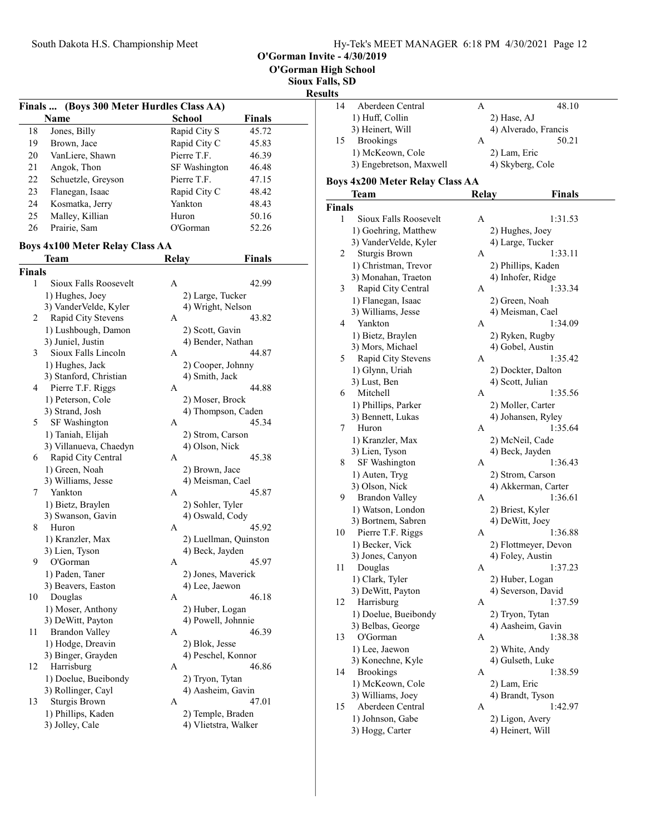| Hy-Tek's MEET MANAGER 6:18 PM 4/30/2021 Page 12 |  |  |  |
|-------------------------------------------------|--|--|--|
|-------------------------------------------------|--|--|--|

O'Gorman Invite - 4/30/2019

Sioux Fal

## Resul

|    | Finals  (Boys 300 Meter Hurdles Class AA) |               |        |  |
|----|-------------------------------------------|---------------|--------|--|
|    | Name                                      | School        | Finals |  |
| 18 | Jones, Billy                              | Rapid City S  | 45.72  |  |
| 19 | Brown, Jace                               | Rapid City C  | 45.83  |  |
| 20 | VanLiere, Shawn                           | Pierre T.F.   | 46.39  |  |
| 21 | Angok, Thon                               | SF Washington | 46.48  |  |
| 22 | Schuetzle, Greyson                        | Pierre T.F.   | 47.15  |  |
| 23 | Flanegan, Isaac                           | Rapid City C  | 48.42  |  |
| 24 | Kosmatka, Jerry                           | Yankton       | 48.43  |  |
| 25 | Malley, Killian                           | Huron         | 50.16  |  |
| 26 | Prairie, Sam                              | O'Gorman      | 52.26  |  |

## Boys 4x100 Meter Relay Class AA

|               | Team                   | <b>Relay</b> | <b>Finals</b>         |
|---------------|------------------------|--------------|-----------------------|
| <b>Finals</b> |                        |              |                       |
| 1             | Sioux Falls Roosevelt  | A            | 42.99                 |
|               | 1) Hughes, Joey        |              | 2) Large, Tucker      |
|               | 3) VanderVelde, Kyler  |              | 4) Wright, Nelson     |
| 2             | Rapid City Stevens     | A            | 43.82                 |
|               | 1) Lushbough, Damon    |              | 2) Scott, Gavin       |
|               | 3) Juniel, Justin      |              | 4) Bender, Nathan     |
| 3             | Sioux Falls Lincoln    | А            | 44.87                 |
|               | 1) Hughes, Jack        |              | 2) Cooper, Johnny     |
|               | 3) Stanford, Christian |              | 4) Smith, Jack        |
| 4             | Pierre T.F. Riggs      | A            | 44.88                 |
|               | 1) Peterson, Cole      |              | 2) Moser, Brock       |
|               | 3) Strand, Josh        |              | 4) Thompson, Caden    |
| 5             | SF Washington          | A            | 45.34                 |
|               | 1) Taniah, Elijah      |              | 2) Strom, Carson      |
|               | 3) Villanueva, Chaedyn |              | 4) Olson, Nick        |
| 6             | Rapid City Central     | А            | 45.38                 |
|               | 1) Green, Noah         |              | 2) Brown, Jace        |
|               | 3) Williams, Jesse     |              | 4) Meisman, Cael      |
| 7             | Yankton                | A            | 45.87                 |
|               | 1) Bietz, Braylen      |              | 2) Sohler, Tyler      |
|               | 3) Swanson, Gavin      |              | 4) Oswald, Cody       |
| 8             | Huron                  | A            | 45.92                 |
|               | 1) Kranzler, Max       |              | 2) Luellman, Quinston |
|               | 3) Lien, Tyson         |              | 4) Beck, Jayden       |
| 9             | O'Gorman               | A            | 45.97                 |
|               | 1) Paden, Taner        |              | 2) Jones, Maverick    |
|               | 3) Beavers, Easton     |              | 4) Lee, Jaewon        |
| 10            | Douglas                | A            | 46.18                 |
|               | 1) Moser, Anthony      |              | 2) Huber, Logan       |
|               | 3) DeWitt, Payton      |              | 4) Powell, Johnnie    |
| 11            | <b>Brandon Valley</b>  | A            | 46.39                 |
|               | 1) Hodge, Dreavin      |              | 2) Blok, Jesse        |
|               | 3) Binger, Grayden     |              | 4) Peschel, Konnor    |
| 12            | Harrisburg             | A            | 46.86                 |
|               | 1) Doelue, Bueibondy   |              | 2) Tryon, Tytan       |
|               | 3) Rollinger, Cayl     |              | 4) Aasheim, Gavin     |
| 13            | <b>Sturgis Brown</b>   | A            | 47.01                 |
|               | 1) Phillips, Kaden     |              | 2) Temple, Braden     |
|               | 3) Jolley, Cale        |              | 4) Vlietstra, Walker  |

| `alls, SD     |                                        |       |                                         |
|---------------|----------------------------------------|-------|-----------------------------------------|
| sults         |                                        |       |                                         |
| 14            | Aberdeen Central                       | A     | 48.10                                   |
|               | 1) Huff, Collin                        |       | 2) Hase, AJ                             |
|               | 3) Heinert, Will                       |       | 4) Alverado, Francis                    |
| 15            | <b>Brookings</b>                       | А     | 50.21                                   |
|               | 1) McKeown, Cole                       |       | 2) Lam, Eric                            |
|               | 3) Engebretson, Maxwell                |       | 4) Skyberg, Cole                        |
|               |                                        |       |                                         |
|               | <b>Boys 4x200 Meter Relay Class AA</b> |       |                                         |
|               | Team                                   | Relay | <b>Finals</b>                           |
| <b>Finals</b> |                                        |       |                                         |
| 1             | Sioux Falls Roosevelt                  | A     | 1:31.53                                 |
|               | 1) Goehring, Matthew                   |       | 2) Hughes, Joey                         |
|               | 3) VanderVelde, Kyler                  |       | 4) Large, Tucker                        |
| 2             | Sturgis Brown                          | A     | 1:33.11                                 |
|               | 1) Christman, Trevor                   |       |                                         |
|               | 3) Monahan, Traeton                    |       | 2) Phillips, Kaden<br>4) Inhofer, Ridge |
|               |                                        |       | 1:33.34                                 |
| 3             | Rapid City Central                     | A     |                                         |
|               | 1) Flanegan, Isaac                     |       | 2) Green, Noah                          |
|               | 3) Williams, Jesse                     |       | 4) Meisman, Cael                        |
| 4             | Yankton                                | А     | 1:34.09                                 |
|               | 1) Bietz, Braylen                      |       | 2) Ryken, Rugby                         |
|               | 3) Mors, Michael                       |       | 4) Gobel, Austin                        |
| 5             | Rapid City Stevens                     | А     | 1:35.42                                 |
|               | 1) Glynn, Uriah                        |       | 2) Dockter, Dalton                      |
|               | 3) Lust, Ben                           |       | 4) Scott, Julian                        |
| 6             | Mitchell                               | А     | 1:35.56                                 |
|               | 1) Phillips, Parker                    |       | 2) Moller, Carter                       |
|               | 3) Bennett, Lukas                      |       | 4) Johansen, Ryley                      |
| 7             | Huron                                  | A     | 1:35.64                                 |
|               | 1) Kranzler, Max                       |       | 2) McNeil, Cade                         |
|               | 3) Lien, Tyson                         |       | 4) Beck, Jayden                         |
| 8             | <b>SF Washington</b>                   | А     | 1:36.43                                 |
|               | 1) Auten, Tryg                         |       | 2) Strom, Carson                        |
|               | 3) Olson, Nick                         |       | 4) Akkerman, Carter                     |
| 9             | <b>Brandon Valley</b>                  | А     | 1:36.61                                 |
|               | 1) Watson, London                      |       | 2) Briest, Kyler                        |
|               | 3) Bortnem, Sabren                     |       | 4) DeWitt, Joey                         |
| 10            |                                        | А     | 1:36.88                                 |
|               | Pierre T.F. Riggs                      |       |                                         |
|               | 1) Becker, Vick                        |       | 2) Flottmeyer, Devon                    |
|               | 3) Jones, Canyon                       |       | 4) Foley, Austin                        |
| 11            | Douglas                                | А     | 1:37.23                                 |
|               | 1) Clark, Tyler                        |       | 2) Huber, Logan                         |
|               | 3) DeWitt, Payton                      |       | 4) Severson, David                      |
| 12            | Harrisburg                             | А     | 1:37.59                                 |
|               | 1) Doelue, Bueibondy                   |       | 2) Tryon, Tytan                         |
|               | 3) Belbas, George                      |       | 4) Aasheim, Gavin                       |
| 13            | O'Gorman                               | A     | 1:38.38                                 |
|               | 1) Lee, Jaewon                         |       | 2) White, Andy                          |
|               | 3) Konechne, Kyle                      |       | 4) Gulseth, Luke                        |
| 14            | <b>Brookings</b>                       | A     | 1:38.59                                 |
|               | 1) McKeown, Cole                       |       | 2) Lam, Eric                            |
|               | 3) Williams, Joey                      |       | 4) Brandt, Tyson                        |
| 15            | Aberdeen Central                       | А     | 1:42.97                                 |
|               | 1) Johnson, Gabe                       |       | 2) Ligon, Avery                         |
|               | 3) Hogg, Carter                        |       | 4) Heinert, Will                        |
|               |                                        |       |                                         |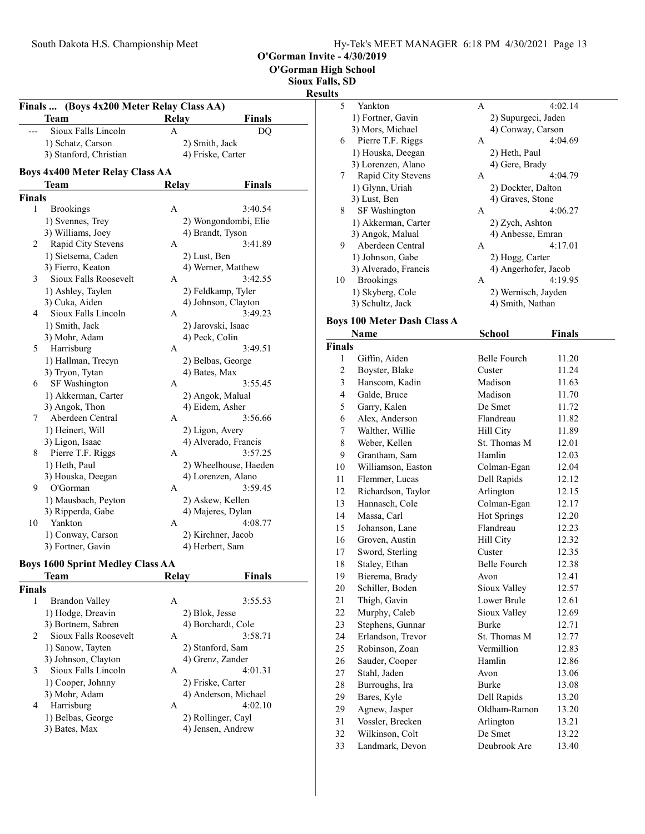O'Gorman High School

Sioux Falls, SD

 $\frac{\text{Results}}{\frac{1}{5}}$ 

| <b>Finals</b> | (Boys 4x200 Meter Relay Class AA)       |              |                       |
|---------------|-----------------------------------------|--------------|-----------------------|
|               | Team                                    | <b>Relay</b> | <b>Finals</b>         |
|               | Sioux Falls Lincoln                     | A            | DQ                    |
|               | 1) Schatz, Carson                       |              | 2) Smith, Jack        |
|               | 3) Stanford, Christian                  |              | 4) Friske, Carter     |
|               | <b>Boys 4x400 Meter Relay Class AA</b>  |              |                       |
|               | Team                                    | <b>Relay</b> | <b>Finals</b>         |
| Finals        |                                         |              |                       |
| 1             | <b>Brookings</b>                        | A            | 3:40.54               |
|               | 1) Svennes, Trey                        |              | 2) Wongondombi, Elie  |
|               | 3) Williams, Joey                       |              | 4) Brandt, Tyson      |
| 2             | Rapid City Stevens                      | A            | 3:41.89               |
|               | 1) Sietsema, Caden                      |              | 2) Lust, Ben          |
|               | 3) Fierro, Keaton                       |              | 4) Werner, Matthew    |
| 3             | Sioux Falls Roosevelt                   | A            | 3:42.55               |
|               | 1) Ashley, Taylen                       |              | 2) Feldkamp, Tyler    |
|               | 3) Cuka, Aiden                          |              | 4) Johnson, Clayton   |
| 4             | Sioux Falls Lincoln                     | A            | 3:49.23               |
|               | 1) Smith, Jack                          |              | 2) Jarovski, Isaac    |
|               | 3) Mohr, Adam                           |              | 4) Peck, Colin        |
| 5             | Harrisburg                              | А            | 3:49.51               |
|               | 1) Hallman, Trecyn                      |              | 2) Belbas, George     |
|               | 3) Tryon, Tytan                         |              | 4) Bates, Max         |
| 6             | SF Washington                           | А            | 3:55.45               |
|               | 1) Akkerman, Carter                     |              | 2) Angok, Malual      |
|               | 3) Angok, Thon                          |              | 4) Eidem, Asher       |
| 7             | Aberdeen Central                        | A            | 3:56.66               |
|               | 1) Heinert, Will                        |              | 2) Ligon, Avery       |
|               | 3) Ligon, Isaac                         |              | 4) Alverado, Francis  |
| 8             | Pierre T.F. Riggs                       | A            | 3:57.25               |
|               | 1) Heth, Paul                           |              | 2) Wheelhouse, Haeden |
|               | 3) Houska, Deegan                       |              | 4) Lorenzen, Alano    |
| 9             | O'Gorman                                | А            | 3:59.45               |
|               | 1) Mausbach, Peyton                     |              | 2) Askew, Kellen      |
|               | 3) Ripperda, Gabe                       |              | 4) Majeres, Dylan     |
| 10            | Yankton                                 | A            | 4:08.77               |
|               | 1) Conway, Carson                       |              | 2) Kirchner, Jacob    |
|               | 3) Fortner, Gavin                       |              | 4) Herbert, Sam       |
|               | <b>Boys 1600 Sprint Medley Class AA</b> |              |                       |
|               | Team                                    | <b>Relay</b> | <b>Finals</b>         |
| Finals        |                                         |              |                       |
| 1             | Brandon Valley                          | A            | 3:55.53               |
|               | 1) Hodge, Dreavin                       |              | 2) Blok, Jesse        |
|               | 3) Bortnem, Sabren                      |              | 4) Borchardt, Cole    |
| 2             | Sioux Falls Roosevelt                   | A            | 3:58.71               |
|               | 1) Sanow, Tayten                        |              | 2) Stanford, Sam      |
|               | 3) Johnson, Clayton                     |              | 4) Grenz, Zander      |
| 3             | Sioux Falls Lincoln                     | A            | 4:01.31               |
|               | 1) Cooper, Johnny                       |              | 2) Friske, Carter     |

|   | 4) Grenz, Zander     |
|---|----------------------|
| А | 4:01.31              |
|   | 2) Friske, Carter    |
|   | 4) Anderson, Michael |
| А | 4:02.10              |
|   | 2) Rollinger, Cayl   |
|   | 4) Jensen, Andrew    |
|   |                      |

4 Harrisburg

| S<br>5 | Yankton                    | A | 4:02.14              |
|--------|----------------------------|---|----------------------|
|        | 1) Fortner, Gavin          |   | 2) Supurgeci, Jaden  |
|        | 3) Mors, Michael           |   | 4) Conway, Carson    |
| 6      | Pierre T.F. Riggs          | A | 4:04.69              |
|        | 1) Houska, Deegan          |   | 2) Heth, Paul        |
|        | 3) Lorenzen, Alano         |   | 4) Gere, Brady       |
| 7      | Rapid City Stevens         | A | 4:04.79              |
|        | 1) Glynn, Uriah            |   | 2) Dockter, Dalton   |
|        | 3) Lust, Ben               |   | 4) Graves, Stone     |
| 8      | <b>SF</b> Washington       | A | 4:06.27              |
|        | 1) Akkerman, Carter        |   | 2) Zych, Ashton      |
|        | 3) Angok, Malual           |   | 4) Anbesse, Emran    |
| 9      | Aberdeen Central           | A | 4:17.01              |
|        | 1) Johnson, Gabe           |   | 2) Hogg, Carter      |
|        | 3) Alverado, Francis       |   | 4) Angerhofer, Jacob |
| 10     | <b>Brookings</b>           | A | 4:19.95              |
|        | 1) Skyberg, Cole           |   | 2) Wernisch, Jayden  |
|        | 3) Schultz, Jack           |   | 4) Smith, Nathan     |
|        | ovs 100 Meter Dash Class A |   |                      |

# Boys 100 M<br>Name

|                | Name               | School              | <b>Finals</b> |  |
|----------------|--------------------|---------------------|---------------|--|
| <b>Finals</b>  |                    |                     |               |  |
| $\mathbf{1}$   | Giffin, Aiden      | <b>Belle Fourch</b> | 11.20         |  |
| $\overline{c}$ | Boyster, Blake     | Custer              | 11.24         |  |
| 3              | Hanscom, Kadin     | Madison             | 11.63         |  |
| $\overline{4}$ | Galde, Bruce       | Madison             | 11.70         |  |
| 5              | Garry, Kalen       | De Smet             | 11.72         |  |
| 6              | Alex, Anderson     | Flandreau           | 11.82         |  |
| 7              | Walther, Willie    | Hill City           | 11.89         |  |
| 8              | Weber, Kellen      | St. Thomas M        | 12.01         |  |
| 9              | Grantham, Sam      | Hamlin              | 12.03         |  |
| 10             | Williamson, Easton | Colman-Egan         | 12.04         |  |
| 11             | Flemmer, Lucas     | Dell Rapids         | 12.12         |  |
| 12             | Richardson, Taylor | Arlington           | 12.15         |  |
| 13             | Hannasch, Cole     | Colman-Egan         | 12.17         |  |
| 14             | Massa, Carl        | <b>Hot Springs</b>  | 12.20         |  |
| 15             | Johanson, Lane     | Flandreau           | 12.23         |  |
| 16             | Groven, Austin     | Hill City           | 12.32         |  |
| 17             | Sword, Sterling    | Custer              | 12.35         |  |
| 18             | Staley, Ethan      | <b>Belle Fourch</b> | 12.38         |  |
| 19             | Bierema, Brady     | Avon                | 12.41         |  |
| 20             | Schiller, Boden    | Sioux Valley        | 12.57         |  |
| 21             | Thigh, Gavin       | Lower Brule         | 12.61         |  |
| 22             | Murphy, Caleb      | Sioux Valley        | 12.69         |  |
| 23             | Stephens, Gunnar   | <b>Burke</b>        | 12.71         |  |
| 24             | Erlandson, Trevor  | St. Thomas M        | 12.77         |  |
| 25             | Robinson, Zoan     | Vermillion          | 12.83         |  |
| 26             | Sauder, Cooper     | Hamlin              | 12.86         |  |
| 27             | Stahl, Jaden       | Avon                | 13.06         |  |
| 28             | Burroughs, Ira     | <b>Burke</b>        | 13.08         |  |
| 29             | Bares, Kyle        | Dell Rapids         | 13.20         |  |
| 29             | Agnew, Jasper      | Oldham-Ramon        | 13.20         |  |
| 31             | Vossler, Brecken   | Arlington           | 13.21         |  |
| 32             | Wilkinson, Colt    | De Smet             | 13.22         |  |
| 33             | Landmark, Devon    | Deubrook Are        | 13.40         |  |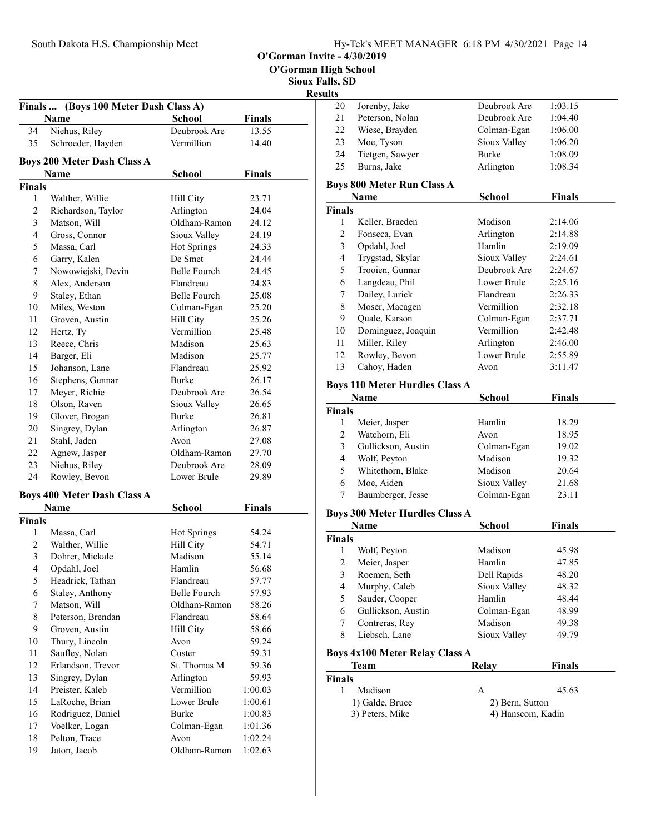O'Gorman Invite - 4/30/2019

Sioux Falls, SD

# Results

| 20 | Jorenby, Jake   | Deubrook Are | 1:03.15 |
|----|-----------------|--------------|---------|
| 21 | Peterson, Nolan | Deubrook Are | 1:04.40 |
| 22 | Wiese, Brayden  | Colman-Egan  | 1:06.00 |
| 23 | Moe, Tyson      | Sioux Valley | 1:06.20 |
| 24 | Tietgen, Sawyer | <b>Burke</b> | 1:08.09 |
| 25 | Burns, Jake     | Arlington    | 1:08.34 |
|    |                 |              |         |

### Boys 800 Meter Run Class A

| Name          |                    | <b>School</b> | <b>Finals</b> |
|---------------|--------------------|---------------|---------------|
| <b>Finals</b> |                    |               |               |
| 1             | Keller, Braeden    | Madison       | 2:14.06       |
| 2             | Fonseca, Evan      | Arlington     | 2:14.88       |
| 3             | Opdahl, Joel       | Hamlin        | 2:19.09       |
| 4             | Trygstad, Skylar   | Sioux Valley  | 2:24.61       |
| 5             | Trooien, Gunnar    | Deubrook Are  | 2:24.67       |
| 6             | Langdeau, Phil     | Lower Brule   | 2:25.16       |
| 7             | Dailey, Lurick     | Flandreau     | 2:26.33       |
| 8             | Moser, Macagen     | Vermillion    | 2:32.18       |
| 9             | Quale, Karson      | Colman-Egan   | 2:37.71       |
| 10            | Dominguez, Joaquin | Vermillion    | 2:42.48       |
| 11            | Miller, Riley      | Arlington     | 2:46.00       |
| 12            | Rowley, Bevon      | Lower Brule   | 2:55.89       |
| 13            | Cahoy, Haden       | Avon          | 3:11.47       |

# Boys 110 Meter Hurdles Class A

|               | Name               | <b>School</b> | <b>Finals</b> |  |
|---------------|--------------------|---------------|---------------|--|
| <b>Finals</b> |                    |               |               |  |
|               | Meier, Jasper      | Hamlin        | 18.29         |  |
| 2             | Watchorn, Eli      | Avon          | 18.95         |  |
| 3             | Gullickson, Austin | Colman-Egan   | 19.02         |  |
| 4             | Wolf, Peyton       | Madison       | 19.32         |  |
| 5             | Whitethorn, Blake  | Madison       | 20.64         |  |
| 6             | Moe, Aiden         | Sioux Valley  | 21.68         |  |
|               | Baumberger, Jesse  | Colman-Egan   | 23.11         |  |

### Boys 300 Meter Hurdles Class A

| Name                           |                    | School       | <b>Finals</b> |  |
|--------------------------------|--------------------|--------------|---------------|--|
| Finals                         |                    |              |               |  |
| 1                              | Wolf, Peyton       | Madison      | 45.98         |  |
| 2                              | Meier, Jasper      | Hamlin       | 47.85         |  |
| 3                              | Roemen, Seth       | Dell Rapids  | 48.20         |  |
| 4                              | Murphy, Caleb      | Sioux Valley | 48.32         |  |
| 5                              | Sauder, Cooper     | Hamlin       | 48.44         |  |
| 6                              | Gullickson, Austin | Colman-Egan  | 48.99         |  |
| 7                              | Contreras, Rey     | Madison      | 49.38         |  |
| 8                              | Liebsch, Lane      | Sioux Valley | 49.79         |  |
| Boys 4x100 Meter Relay Class A |                    |              |               |  |
|                                | Team               | Relav        | Finals        |  |

| IXUIA V |       |                                                 |
|---------|-------|-------------------------------------------------|
|         |       |                                                 |
| А       | 45.63 |                                                 |
|         |       |                                                 |
|         |       |                                                 |
|         |       | т піаіз<br>2) Bern, Sutton<br>4) Hanscom, Kadin |

| (Boys 100 Meter Dash Class A)<br><b>Finals</b><br>Name<br>School<br><b>Finals</b> |                                    |                           |                |  |
|-----------------------------------------------------------------------------------|------------------------------------|---------------------------|----------------|--|
| 34                                                                                | Niehus, Riley                      | Deubrook Are              | 13.55          |  |
| 35                                                                                | Schroeder, Hayden                  | Vermillion                | 14.40          |  |
|                                                                                   |                                    |                           |                |  |
|                                                                                   | <b>Boys 200 Meter Dash Class A</b> |                           |                |  |
|                                                                                   | <b>Name</b>                        | <b>School</b>             | <b>Finals</b>  |  |
| <b>Finals</b>                                                                     |                                    |                           |                |  |
| 1<br>$\overline{2}$                                                               | Walther, Willie                    | Hill City                 | 23.71          |  |
|                                                                                   | Richardson, Taylor                 | Arlington<br>Oldham-Ramon | 24.04          |  |
| 3<br>4                                                                            | Matson, Will                       |                           | 24.12          |  |
|                                                                                   | Gross, Connor                      | Sioux Valley              | 24.19          |  |
| 5<br>6                                                                            | Massa, Carl<br>Garry, Kalen        | Hot Springs<br>De Smet    | 24.33<br>24.44 |  |
| 7                                                                                 | Nowowiejski, Devin                 | Belle Fourch              | 24.45          |  |
| 8                                                                                 | Alex, Anderson                     | Flandreau                 | 24.83          |  |
| 9                                                                                 | Staley, Ethan                      | Belle Fourch              | 25.08          |  |
| 10                                                                                | Miles. Weston                      | Colman-Egan               | 25.20          |  |
| 11                                                                                | Groven, Austin                     | Hill City                 | 25.26          |  |
| 12                                                                                | Hertz, Ty                          | Vermillion                | 25.48          |  |
| 13                                                                                | Reece, Chris                       | Madison                   | 25.63          |  |
| 14                                                                                | Barger, Eli                        | Madison                   | 25.77          |  |
| 15                                                                                | Johanson, Lane                     | Flandreau                 | 25.92          |  |
| 16                                                                                | Stephens, Gunnar                   | <b>Burke</b>              | 26.17          |  |
| 17                                                                                | Meyer, Richie                      | Deubrook Are              | 26.54          |  |
| 18                                                                                | Olson, Raven                       | Sioux Valley              | 26.65          |  |
| 19                                                                                | Glover, Brogan                     | Burke                     | 26.81          |  |
| 20                                                                                | Singrey, Dylan                     | Arlington                 | 26.87          |  |
| 21                                                                                | Stahl, Jaden                       | Avon                      | 27.08          |  |
| 22                                                                                | Agnew, Jasper                      | Oldham-Ramon              | 27.70          |  |
| 23                                                                                | Niehus, Riley                      | Deubrook Are              | 28.09          |  |
| 24                                                                                | Rowley, Bevon                      | Lower Brule               | 29.89          |  |
|                                                                                   |                                    |                           |                |  |
|                                                                                   | <b>Boys 400 Meter Dash Class A</b> |                           |                |  |
|                                                                                   | Name                               | School                    | <b>Finals</b>  |  |
| <b>Finals</b>                                                                     |                                    |                           |                |  |
| 1                                                                                 | Massa, Carl                        | Hot Springs               | 54.24          |  |
| 2                                                                                 | Walther, Willie                    | Hill City                 | 54.71          |  |
| 3                                                                                 | Dohrer, Mickale                    | Madison                   | 55.14          |  |
| 4                                                                                 | Opdahl, Joel                       | Hamlin                    | 56.68          |  |
| 5                                                                                 | Headrick, Tathan                   | Flandreau                 | 57.77          |  |
| 6                                                                                 | Staley, Anthony                    | Belle Fourch              | 57.93          |  |
| 7                                                                                 | Matson, Will                       | Oldham-Ramon              | 58.26          |  |
| $\,$ $\,$                                                                         | Peterson, Brendan                  | Flandreau                 | 58.64          |  |
| 9                                                                                 | Groven, Austin                     | Hill City                 | 58.66          |  |
| 10                                                                                | Thury, Lincoln                     | Avon                      | 59.24          |  |
| 11                                                                                | Saufley, Nolan                     | Custer                    | 59.31          |  |
| 12                                                                                | Erlandson, Trevor                  | St. Thomas M              | 59.36          |  |
| 13                                                                                | Singrey, Dylan                     | Arlington                 | 59.93          |  |
| 14                                                                                | Preister, Kaleb                    | Vermillion                | 1:00.03        |  |
| 15                                                                                | LaRoche, Brian                     | Lower Brule               | 1:00.61        |  |
| 16                                                                                | Rodriguez, Daniel                  | Burke                     | 1:00.83        |  |
| 17                                                                                | Voelker, Logan                     | Colman-Egan               | 1:01.36        |  |
| 18                                                                                | Pelton, Trace                      | Avon                      | 1:02.24        |  |
| 19                                                                                | Jaton, Jacob                       | Oldham-Ramon              | 1:02.63        |  |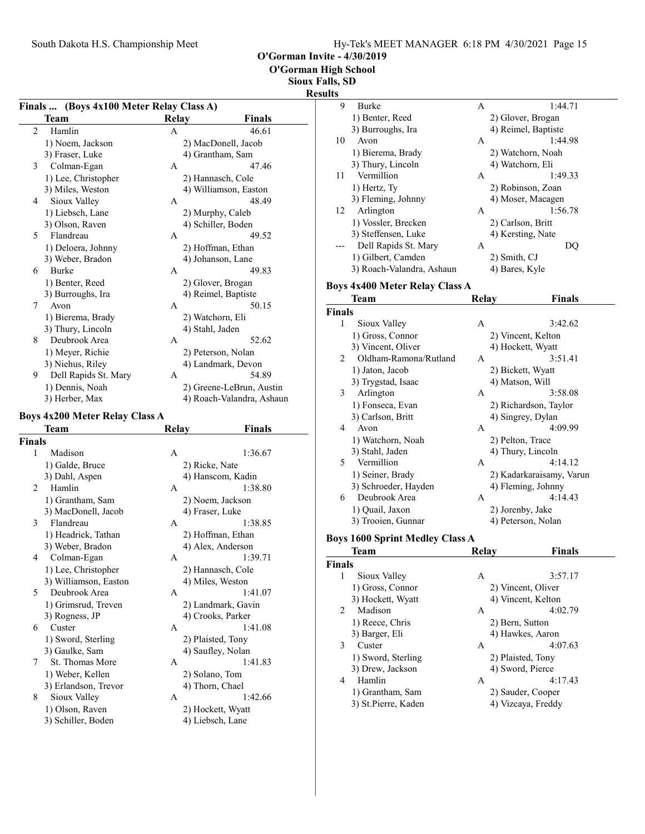O'Gorman High School

Sioux Falls, SD

#### Resul

|               | Finals  (Boys 4x100 Meter Relay Class A) |              |                            |
|---------------|------------------------------------------|--------------|----------------------------|
|               | Team                                     | <b>Relay</b> | Finals                     |
| 2             | Hamlin                                   | A            | 46.61                      |
|               | 1) Noem, Jackson                         |              | 2) MacDonell, Jacob        |
|               | 3) Fraser, Luke                          |              | 4) Grantham, Sam           |
| 3             | Colman-Egan                              | А            | 47.46                      |
|               | 1) Lee, Christopher                      |              | 2) Hannasch, Cole          |
|               | 3) Miles, Weston                         |              | 4) Williamson, Easton      |
| 4             | Sioux Valley                             | А            | 48.49                      |
|               | 1) Liebsch, Lane                         |              | 2) Murphy, Caleb           |
|               | 3) Olson, Raven                          |              | 4) Schiller, Boden         |
| 5             | Flandreau                                | А            | 49.52                      |
|               |                                          |              |                            |
|               | 1) Deloera, Johnny                       |              | 2) Hoffman, Ethan          |
| 6             | 3) Weber, Bradon<br>Burke                | А            | 4) Johanson, Lane<br>49.83 |
|               |                                          |              |                            |
|               | 1) Benter, Reed                          |              | 2) Glover, Brogan          |
|               | 3) Burroughs, Ira                        |              | 4) Reimel, Baptiste        |
| 7             | Avon                                     | А            | 50.15                      |
|               | 1) Bierema, Brady                        |              | 2) Watchorn, Eli           |
|               | 3) Thury, Lincoln                        |              | 4) Stahl, Jaden            |
| 8             | Deubrook Area                            | А            | 52.62                      |
|               | 1) Meyer, Richie                         |              | 2) Peterson, Nolan         |
|               | 3) Niehus, Riley                         |              | 4) Landmark, Devon         |
| 9             | Dell Rapids St. Mary                     | A            | 54.89                      |
|               | 1) Dennis, Noah                          |              | 2) Greene-LeBrun, Austin   |
|               | 3) Herber, Max                           |              | 4) Roach-Valandra, Ashaun  |
|               | <b>Boys 4x200 Meter Relay Class A</b>    |              |                            |
|               | <b>Team</b>                              | Relay        | Finals                     |
| <b>Finals</b> |                                          |              |                            |
| 1             | Madison                                  | А            | 1:36.67                    |
|               | 1) Galde, Bruce                          |              | 2) Ricke, Nate             |
|               | 3) Dahl, Aspen                           |              | 4) Hanscom, Kadin          |
| 2             | Hamlin                                   | А            | 1:38.80                    |
|               | 1) Grantham, Sam                         |              | 2) Noem, Jackson           |
|               | 3) MacDonell, Jacob                      |              | 4) Fraser, Luke            |
| 3             | Flandreau                                | А            | 1:38.85                    |
|               | 1) Headrick, Tathan                      |              | 2) Hoffman, Ethan          |
|               | 3) Weber, Bradon                         |              | 4) Alex, Anderson          |
| 4             | Colman-Egan                              | А            | 1:39.71                    |
|               | 1) Lee, Christopher                      |              | 2) Hannasch, Cole          |
|               | 3) Williamson, Easton                    |              | 4) Miles, Weston           |
| 5             | Deubrook Area                            | А            | 1:41.07                    |
|               | 1) Grimsrud, Treven                      |              | 2) Landmark, Gavin         |
|               | 3) Rogness, JP                           |              | 4) Crooks, Parker          |
| 6             | Custer                                   | A            | 1:41.08                    |
|               |                                          |              |                            |
|               | 1) Sword, Sterling                       |              | 2) Plaisted, Tony          |
|               | 3) Gaulke, Sam                           |              | 4) Saufley, Nolan          |
| 7             | St. Thomas More                          | А            | 1:41.83                    |
|               | 1) Weber, Kellen                         |              | 2) Solano, Tom             |
|               | 3) Erlandson, Trevor                     |              | 4) Thorn, Chael            |
| 8             | Sioux Valley                             | А            | 1:42.66                    |
|               | 1) Olson, Raven                          |              | 2) Hockett, Wyatt          |
|               | 3) Schiller, Boden                       |              | 4) Liebsch, Lane           |
|               |                                          |              |                            |

| ults               |                                        |       |                          |
|--------------------|----------------------------------------|-------|--------------------------|
| 9                  | Burke                                  | A     | 1:44.71                  |
|                    | 1) Benter, Reed                        |       | 2) Glover, Brogan        |
|                    | 3) Burroughs, Ira                      |       | 4) Reimel, Baptiste      |
| 10                 | Avon                                   | A     | 1:44.98                  |
|                    | 1) Bierema, Brady                      |       | 2) Watchorn, Noah        |
|                    | 3) Thury, Lincoln                      |       | 4) Watchorn, Eli         |
| 11                 | Vermillion                             | A     | 1:49.33                  |
|                    | 1) Hertz, Ty                           |       | 2) Robinson, Zoan        |
|                    | 3) Fleming, Johnny                     |       | 4) Moser, Macagen        |
| 12                 | Arlington                              | А     | 1:56.78                  |
|                    | 1) Vossler, Brecken                    |       | 2) Carlson, Britt        |
|                    | 3) Steffensen, Luke                    |       | 4) Kersting, Nate        |
|                    | Dell Rapids St. Mary                   | A     | DQ                       |
|                    | 1) Gilbert, Camden                     |       | 2) Smith, CJ             |
|                    | 3) Roach-Valandra, Ashaun              |       | 4) Bares, Kyle           |
|                    | <b>Boys 4x400 Meter Relay Class A</b>  |       |                          |
|                    | <b>Team</b>                            | Relay | Finals                   |
| <b>Finals</b>      |                                        |       |                          |
| 1                  | Sioux Valley                           | A     | 3:42.62                  |
|                    | 1) Gross, Connor                       |       | 2) Vincent, Kelton       |
|                    | 3) Vincent, Oliver                     |       | 4) Hockett, Wyatt        |
| 2                  | Oldham-Ramona/Rutland                  | A     | 3:51.41                  |
|                    | 1) Jaton, Jacob                        |       | 2) Bickett, Wyatt        |
|                    | 3) Trygstad, Isaac                     |       | 4) Matson, Will          |
| 3                  | Arlington                              | А     | 3:58.08                  |
|                    | 1) Fonseca, Evan                       |       | 2) Richardson, Taylor    |
|                    | 3) Carlson, Britt                      |       | 4) Singrey, Dylan        |
| 4                  | Avon                                   | A     | 4:09.99                  |
|                    | 1) Watchorn, Noah                      |       | 2) Pelton, Trace         |
|                    | 3) Stahl, Jaden                        |       | 4) Thury, Lincoln        |
| 5                  | Vermillion                             | A     | 4:14.12                  |
|                    | 1) Seiner, Brady                       |       | 2) Kadarkaraisamy, Varun |
|                    | 3) Schroeder, Hayden                   |       | 4) Fleming, Johnny       |
| 6                  | Deubrook Area                          | A     | 4:14.43                  |
|                    | 1) Quail, Jaxon                        |       | 2) Jorenby, Jake         |
|                    | 3) Trooien, Gunnar                     |       | 4) Peterson, Nolan       |
|                    |                                        |       |                          |
|                    | <b>Boys 1600 Sprint Medley Class A</b> |       |                          |
|                    | <b>Team</b>                            | Relay | Finals                   |
| <b>Finals</b><br>1 | Sioux Valley                           | A     | 3:57.17                  |
|                    | 1) Gross, Connor                       |       | 2) Vincent, Oliver       |
|                    | 3) Hockett, Wyatt                      |       | 4) Vincent, Kelton       |
| 2                  | Madison                                | A     | 4:02.79                  |
|                    | 1) Reece, Chris                        |       | 2) Bern, Sutton          |
|                    | 3) Barger, Eli                         |       | 4) Hawkes, Aaron         |
| 3                  | Custer                                 | А     | 4:07.63                  |
|                    | 1) Sword, Sterling                     |       | 2) Plaisted, Tony        |
|                    | 3) Drew, Jackson                       |       | 4) Sword, Pierce         |
| 4                  | Hamlin                                 | A     | 4:17.43                  |
|                    | 1) Grantham, Sam                       |       | 2) Sauder, Cooper        |
|                    | 3) St.Pierre, Kaden                    |       | 4) Vizcaya, Freddy       |
|                    |                                        |       |                          |
|                    |                                        |       |                          |
|                    |                                        |       |                          |
|                    |                                        |       |                          |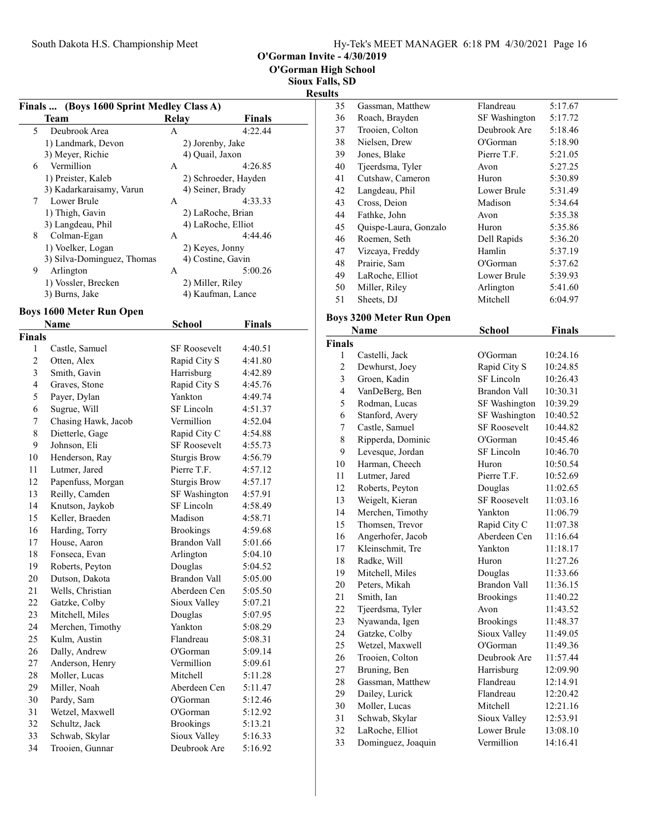O'Gorman Invite - 4/30/2019

Sioux Falls, SD  $s$ ults $\overline{a}$ 

|        |                                                   |                                          |               | <b>Res</b> |
|--------|---------------------------------------------------|------------------------------------------|---------------|------------|
|        | Finals  (Boys 1600 Sprint Medley Class A)<br>Team | <b>Relay</b>                             | <b>Finals</b> |            |
| 5      | Deubrook Area                                     | A                                        | 4:22.44       |            |
|        |                                                   |                                          |               |            |
|        | 1) Landmark, Devon<br>3) Meyer, Richie            | 2) Jorenby, Jake                         |               |            |
| 6      | Vermillion                                        | 4) Quail, Jaxon<br>A                     | 4:26.85       |            |
|        | 1) Preister, Kaleb                                |                                          |               |            |
|        | 3) Kadarkaraisamy, Varun                          | 2) Schroeder, Hayden<br>4) Seiner, Brady |               |            |
| 7      | Lower Brule                                       | A                                        | 4:33.33       |            |
|        | 1) Thigh, Gavin                                   | 2) LaRoche, Brian                        |               |            |
|        | 3) Langdeau, Phil                                 | 4) LaRoche, Elliot                       |               |            |
| 8      | Colman-Egan                                       | А                                        | 4:44.46       |            |
|        | 1) Voelker, Logan                                 | 2) Keyes, Jonny                          |               |            |
|        | 3) Silva-Dominguez, Thomas                        | 4) Costine, Gavin                        |               |            |
| 9      | Arlington                                         | A                                        | 5:00.26       |            |
|        | 1) Vossler, Brecken                               | 2) Miller, Riley                         |               |            |
|        | 3) Burns, Jake                                    | 4) Kaufman, Lance                        |               |            |
|        |                                                   |                                          |               |            |
|        | <b>Boys 1600 Meter Run Open</b><br>Name           | <b>School</b>                            | <b>Finals</b> |            |
| Finals |                                                   |                                          |               |            |
| 1      | Castle, Samuel                                    | SF Roosevelt                             | 4:40.51       |            |
| 2      | Otten, Alex                                       | Rapid City S                             | 4:41.80       |            |
| 3      | Smith, Gavin                                      | Harrisburg                               | 4:42.89       |            |
| 4      | Graves, Stone                                     | Rapid City S                             | 4:45.76       |            |
| 5      | Payer, Dylan                                      | Yankton                                  | 4:49.74       |            |
| 6      | Sugrue, Will                                      | SF Lincoln                               | 4:51.37       |            |
| 7      | Chasing Hawk, Jacob                               | Vermillion                               | 4:52.04       |            |
| 8      | Dietterle, Gage                                   | Rapid City C                             | 4:54.88       |            |
| 9      | Johnson, Eli                                      | <b>SF Roosevelt</b>                      | 4:55.73       |            |
| 10     | Henderson, Ray                                    | Sturgis Brow                             | 4:56.79       |            |
| 11     | Lutmer, Jared                                     | Pierre T.F.                              | 4:57.12       |            |
| 12     | Papenfuss, Morgan                                 | <b>Sturgis Brow</b>                      | 4:57.17       |            |
| 13     | Reilly, Camden                                    | SF Washington                            | 4:57.91       |            |
| 14     | Knutson, Jaykob                                   | SF Lincoln                               | 4:58.49       |            |
| 15     | Keller, Braeden                                   | Madison                                  | 4:58.71       |            |
| 16     | Harding, Torry                                    | <b>Brookings</b>                         | 4:59.68       |            |
| 17     | House, Aaron                                      | <b>Brandon Vall</b>                      | 5:01.66       |            |
| 18     |                                                   |                                          |               |            |
|        | Fonseca, Evan<br>Roberts, Peyton                  | Arlington<br>Douglas                     | 5:04.10       |            |
| 19     |                                                   | <b>Brandon Vall</b>                      | 5:04.52       |            |
| 20     | Dutson, Dakota                                    |                                          | 5:05.00       |            |
| 21     | Wells, Christian                                  | Aberdeen Cen                             | 5:05.50       |            |
| 22     | Gatzke, Colby                                     | Sioux Valley                             | 5:07.21       |            |
| 23     | Mitchell, Miles                                   | Douglas                                  | 5:07.95       |            |
| 24     | Merchen, Timothy                                  | Yankton                                  | 5:08.29       |            |
| 25     | Kulm, Austin                                      | Flandreau                                | 5:08.31       |            |
| 26     | Dally, Andrew                                     | O'Gorman                                 | 5:09.14       |            |
| 27     | Anderson, Henry                                   | Vermillion                               | 5:09.61       |            |
| 28     | Moller, Lucas                                     | Mitchell                                 | 5:11.28       |            |
| 29     | Miller, Noah                                      | Aberdeen Cen                             | 5:11.47       |            |
| 30     | Pardy, Sam                                        | O'Gorman                                 | 5:12.46       |            |
| 31     | Wetzel, Maxwell                                   | O'Gorman                                 | 5:12.92       |            |
| 32     | Schultz, Jack                                     | <b>Brookings</b>                         | 5:13.21       |            |
| 33     | Schwab, Skylar                                    | Sioux Valley                             | 5:16.33       |            |
| 34     | Trooien, Gunnar                                   | Deubrook Are                             | 5:16.92       |            |
|        |                                                   |                                          |               |            |

| 35 | Gassman, Matthew      | Flandreau     | 5:17.67 |
|----|-----------------------|---------------|---------|
| 36 | Roach, Brayden        | SF Washington | 5:17.72 |
| 37 | Trooien, Colton       | Deubrook Are  | 5:18.46 |
| 38 | Nielsen, Drew         | O'Gorman      | 5:18.90 |
| 39 | Jones, Blake          | Pierre T.F.   | 5:21.05 |
| 40 | Tjeerdsma, Tyler      | Avon          | 5:27.25 |
| 41 | Cutshaw, Cameron      | Huron         | 5:30.89 |
| 42 | Langdeau, Phil        | Lower Brule   | 5:31.49 |
| 43 | Cross, Deion          | Madison       | 5:34.64 |
| 44 | Fathke, John          | Avon          | 5:35.38 |
| 45 | Quispe-Laura, Gonzalo | Huron         | 5:35.86 |
| 46 | Roemen, Seth          | Dell Rapids   | 5:36.20 |
| 47 | Vizcaya, Freddy       | Hamlin        | 5:37.19 |
| 48 | Prairie, Sam          | O'Gorman      | 5:37.62 |
| 49 | LaRoche, Elliot       | Lower Brule   | 5:39.93 |
| 50 | Miller, Riley         | Arlington     | 5:41.60 |
| 51 | Sheets, DJ            | Mitchell      | 6:04.97 |
|    |                       |               |         |

## Boys 3200 Meter Run Open

|                          | Name               | <b>School</b>       | <b>Finals</b> |
|--------------------------|--------------------|---------------------|---------------|
| <b>Finals</b>            |                    |                     |               |
| 1                        | Castelli, Jack     | O'Gorman            | 10:24.16      |
| $\overline{c}$           | Dewhurst, Joey     | Rapid City S        | 10:24.85      |
| 3                        | Groen, Kadin       | <b>SF</b> Lincoln   | 10:26.43      |
| $\overline{\mathcal{L}}$ | VanDeBerg, Ben     | <b>Brandon Vall</b> | 10:30.31      |
| 5                        | Rodman, Lucas      | SF Washington       | 10:39.29      |
| 6                        | Stanford, Avery    | SF Washington       | 10:40.52      |
| 7                        | Castle, Samuel     | <b>SF Roosevelt</b> | 10:44.82      |
| 8                        | Ripperda, Dominic  | O'Gorman            | 10:45.46      |
| 9                        | Levesque, Jordan   | SF Lincoln          | 10:46.70      |
| 10                       | Harman, Cheech     | Huron               | 10:50.54      |
| 11                       | Lutmer, Jared      | Pierre T.F.         | 10:52.69      |
| 12                       | Roberts, Peyton    | Douglas             | 11:02.65      |
| 13                       | Weigelt, Kieran    | <b>SF Roosevelt</b> | 11:03.16      |
| 14                       | Merchen, Timothy   | Yankton             | 11:06.79      |
| 15                       | Thomsen, Trevor    | Rapid City C        | 11:07.38      |
| 16                       | Angerhofer, Jacob  | Aberdeen Cen        | 11:16.64      |
| 17                       | Kleinschmit, Tre   | Yankton             | 11:18.17      |
| 18                       | Radke, Will        | Huron               | 11:27.26      |
| 19                       | Mitchell, Miles    | Douglas             | 11:33.66      |
| 20                       | Peters, Mikah      | <b>Brandon Vall</b> | 11:36.15      |
| 21                       | Smith, Ian         | <b>Brookings</b>    | 11:40.22      |
| 22                       | Tjeerdsma, Tyler   | Avon                | 11:43.52      |
| 23                       | Nyawanda, Igen     | <b>Brookings</b>    | 11:48.37      |
| 24                       | Gatzke, Colby      | Sioux Valley        | 11:49.05      |
| 25                       | Wetzel, Maxwell    | O'Gorman            | 11:49.36      |
| 26                       | Trooien, Colton    | Deubrook Are        | 11:57.44      |
| 27                       | Bruning, Ben       | Harrisburg          | 12:09.90      |
| 28                       | Gassman, Matthew   | Flandreau           | 12:14.91      |
| 29                       | Dailey, Lurick     | Flandreau           | 12:20.42      |
| 30                       | Moller, Lucas      | Mitchell            | 12:21.16      |
| 31                       | Schwab, Skylar     | Sioux Valley        | 12:53.91      |
| 32                       | LaRoche, Elliot    | Lower Brule         | 13:08.10      |
| 33                       | Dominguez, Joaquin | Vermillion          | 14:16.41      |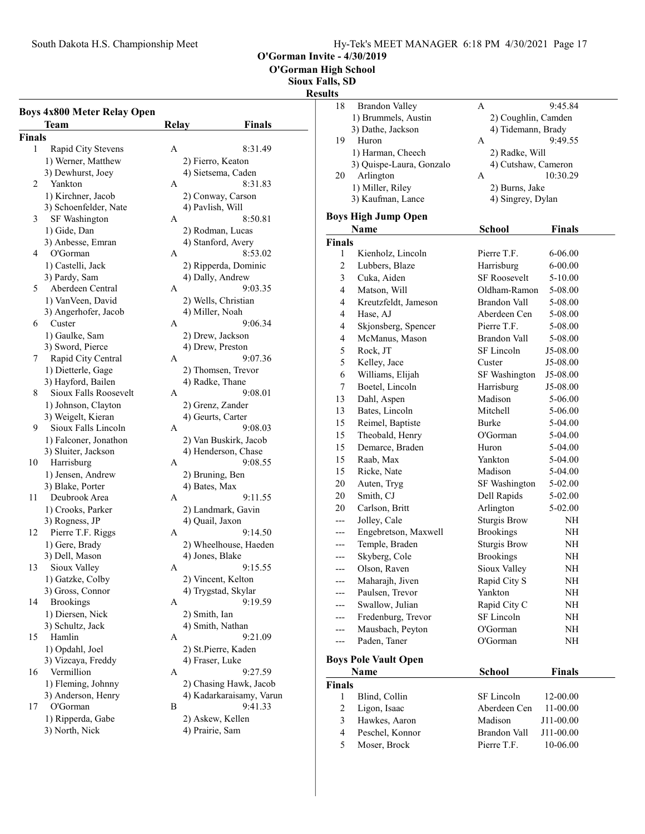O'Gorman High School

Sioux Falls, SD

### Resul

|        | <b>Boys 4x800 Meter Relay Open</b><br>Team | <b>Relay</b> | Finals                                 |
|--------|--------------------------------------------|--------------|----------------------------------------|
| Finals |                                            |              |                                        |
| 1      | Rapid City Stevens                         | А            | 8:31.49                                |
|        | 1) Werner, Matthew                         |              | 2) Fierro, Keaton                      |
|        | 3) Dewhurst, Joey                          |              | 4) Sietsema, Caden                     |
| 2      | Yankton                                    | A            | 8:31.83                                |
|        | 1) Kirchner, Jacob                         |              | 2) Conway, Carson                      |
|        | 3) Schoenfelder, Nate                      |              | 4) Pavlish, Will                       |
| 3      | SF Washington                              | А            | 8:50.81                                |
|        | 1) Gide, Dan                               |              |                                        |
|        | 3) Anbesse, Emran                          |              | 2) Rodman, Lucas<br>4) Stanford, Avery |
| 4      | O'Gorman                                   | А            | 8:53.02                                |
|        |                                            |              |                                        |
|        | 1) Castelli, Jack                          |              | 2) Ripperda, Dominic                   |
|        | 3) Pardy, Sam                              |              | 4) Dally, Andrew                       |
| 5      | Aberdeen Central                           | А            | 9:03.35                                |
|        | 1) VanVeen, David                          |              | 2) Wells, Christian                    |
|        | 3) Angerhofer, Jacob                       |              | 4) Miller, Noah                        |
| 6      | Custer                                     | А            | 9:06.34                                |
|        | 1) Gaulke, Sam                             |              | 2) Drew, Jackson                       |
|        | 3) Sword, Pierce                           |              | 4) Drew, Preston                       |
| 7      | Rapid City Central                         | A            | 9:07.36                                |
|        | 1) Dietterle, Gage                         |              | 2) Thomsen, Trevor                     |
|        | 3) Hayford, Bailen                         |              | 4) Radke, Thane                        |
| 8      | Sioux Falls Roosevelt                      | A            | 9:08.01                                |
|        | 1) Johnson, Clayton                        |              | 2) Grenz, Zander                       |
|        | 3) Weigelt, Kieran                         |              | 4) Geurts, Carter                      |
| 9      | Sioux Falls Lincoln                        | A            | 9:08.03                                |
|        | 1) Falconer, Jonathon                      |              | 2) Van Buskirk, Jacob                  |
|        | 3) Sluiter, Jackson                        |              | 4) Henderson, Chase                    |
| 10     | Harrisburg                                 | A            | 9:08.55                                |
|        | 1) Jensen, Andrew                          |              | 2) Bruning, Ben                        |
|        | 3) Blake, Porter                           |              | 4) Bates, Max                          |
| 11     | Deubrook Area                              | A            | 9:11.55                                |
|        | 1) Crooks, Parker                          |              | 2) Landmark, Gavin                     |
|        | 3) Rogness, JP                             |              | 4) Quail, Jaxon                        |
| 12     | Pierre T.F. Riggs                          | A            | 9:14.50                                |
|        | 1) Gere, Brady                             |              | 2) Wheelhouse, Haeden                  |
|        | 3) Dell, Mason                             |              | 4) Jones, Blake                        |
| 13     | Sioux Valley                               | A            | 9:15.55                                |
|        | 1) Gatzke, Colby                           |              | 2) Vincent, Kelton                     |
|        | 3) Gross, Connor                           |              | 4) Trygstad, Skylar                    |
| 14     | <b>Brookings</b>                           | А            | 9:19.59                                |
|        | 1) Diersen, Nick                           |              | 2) Smith, Ian                          |
|        | 3) Schultz, Jack                           |              | 4) Smith, Nathan                       |
| 15     | Hamlin                                     | A            | 9:21.09                                |
|        | 1) Opdahl, Joel                            |              | 2) St.Pierre, Kaden                    |
|        | 3) Vizcaya, Freddy                         |              | 4) Fraser, Luke                        |
| 16     | Vermillion                                 | Α            | 9:27.59                                |
|        | 1) Fleming, Johnny                         |              | 2) Chasing Hawk, Jacob                 |
|        | 3) Anderson, Henry                         |              | 4) Kadarkaraisamy, Varun               |
| 17     | O'Gorman                                   | В            | 9:41.33                                |
|        | 1) Ripperda, Gabe                          |              | 2) Askew, Kellen                       |
|        | 3) North, Nick                             |              | 4) Prairie, Sam                        |
|        |                                            |              |                                        |
|        |                                            |              |                                        |

| ılts           |                                     |                     |                    |  |
|----------------|-------------------------------------|---------------------|--------------------|--|
| 18             | <b>Brandon Valley</b>               | А                   | 9:45.84            |  |
|                | 1) Brummels, Austin                 | 2) Coughlin, Camden |                    |  |
|                | 3) Dathe, Jackson                   | 4) Tidemann, Brady  |                    |  |
| 19             | Huron                               | A                   | 9:49.55            |  |
|                | 1) Harman, Cheech                   | 2) Radke, Will      |                    |  |
|                | 3) Quispe-Laura, Gonzalo            | 4) Cutshaw, Cameron |                    |  |
| 20             | Arlington                           | A                   | 10:30.29           |  |
|                | 1) Miller, Riley                    | 2) Burns, Jake      |                    |  |
|                | 3) Kaufman, Lance                   | 4) Singrey, Dylan   |                    |  |
|                | <b>Boys High Jump Open</b>          |                     |                    |  |
|                | <b>Name</b>                         | <b>School</b>       | <b>Finals</b>      |  |
| Finals         |                                     |                     |                    |  |
| 1              | Kienholz, Lincoln                   | Pierre T.F.         | 6-06.00            |  |
| $\overline{c}$ | Lubbers, Blaze                      | Harrisburg          | $6 - 00.00$        |  |
| 3              | Cuka, Aiden                         | <b>SF Roosevelt</b> | 5-10.00            |  |
| 4              | Matson, Will                        | Oldham-Ramon        | 5-08.00            |  |
| 4              | Kreutzfeldt, Jameson                | Brandon Vall        | 5-08.00            |  |
| 4              | Hase, AJ                            | Aberdeen Cen        | 5-08.00            |  |
| $\overline{4}$ | Skjonsberg, Spencer                 | Pierre T.F.         | 5-08.00            |  |
| 4              | McManus, Mason                      | <b>Brandon Vall</b> | 5-08.00            |  |
| 5              | Rock, JT                            | SF Lincoln          | J5-08.00           |  |
| 5              | Kelley, Jace                        | Custer              | J5-08.00           |  |
| 6              | Williams, Elijah                    | SF Washington       | J5-08.00           |  |
| 7              | Boetel, Lincoln                     | Harrisburg          | J5-08.00           |  |
| 13             | Dahl, Aspen                         | Madison             | 5-06.00            |  |
| 13             | Bates, Lincoln                      | Mitchell            | 5-06.00            |  |
| 15             |                                     | Burke               |                    |  |
| 15             | Reimel, Baptiste<br>Theobald, Henry | O'Gorman            | 5-04.00<br>5-04.00 |  |
| 15             |                                     | Huron               |                    |  |
| 15             | Demarce, Braden                     | Yankton             | 5-04.00            |  |
| 15             | Raab, Max<br>Ricke, Nate            | Madison             | 5-04.00            |  |
|                |                                     |                     | 5-04.00            |  |
| 20             | Auten, Tryg                         | SF Washington       | 5-02.00            |  |
| 20<br>20       | Smith, CJ                           | Dell Rapids         | 5-02.00            |  |
|                | Carlson, Britt                      | Arlington           | 5-02.00            |  |
| ---            | Jolley, Cale                        | <b>Sturgis Brow</b> | NH                 |  |
| $---$          | Engebretson, Maxwell                | <b>Brookings</b>    | NH                 |  |
| ---            | Temple, Braden                      | <b>Sturgis Brow</b> | NH                 |  |
| ---            | Skyberg, Cole                       | <b>Brookings</b>    | NΗ                 |  |
| --             | Olson, Raven                        | Sioux Valley        | NH                 |  |
|                | Maharajh, Jiven                     | Rapid City S        | NH                 |  |
|                | Paulsen, Trevor                     | Yankton             | NH                 |  |
|                | Swallow, Julian                     | Rapid City C        | NH                 |  |
|                | Fredenburg, Trevor                  | SF Lincoln          | NH                 |  |
|                | Mausbach, Peyton                    | O'Gorman            | NH                 |  |
| ---            | Paden, Taner                        | O'Gorman            | NH                 |  |
|                | Boys Pole Vault Open                |                     |                    |  |
|                | Name                                | School              | <b>Finals</b>      |  |
| Finals         |                                     |                     |                    |  |
| 1              | Blind, Collin                       | SF Lincoln          | 12-00.00           |  |
| $\overline{c}$ | Ligon, Isaac                        | Aberdeen Cen        | 11-00.00           |  |
| 3              | Hawkes, Aaron                       | Madison             | J11-00.00          |  |
| $\overline{4}$ | Peschel, Konnor                     | Brandon Vall        | J11-00.00          |  |
| 5              | Moser, Brock                        | Pierre T.F.         | 10-06.00           |  |
|                |                                     |                     |                    |  |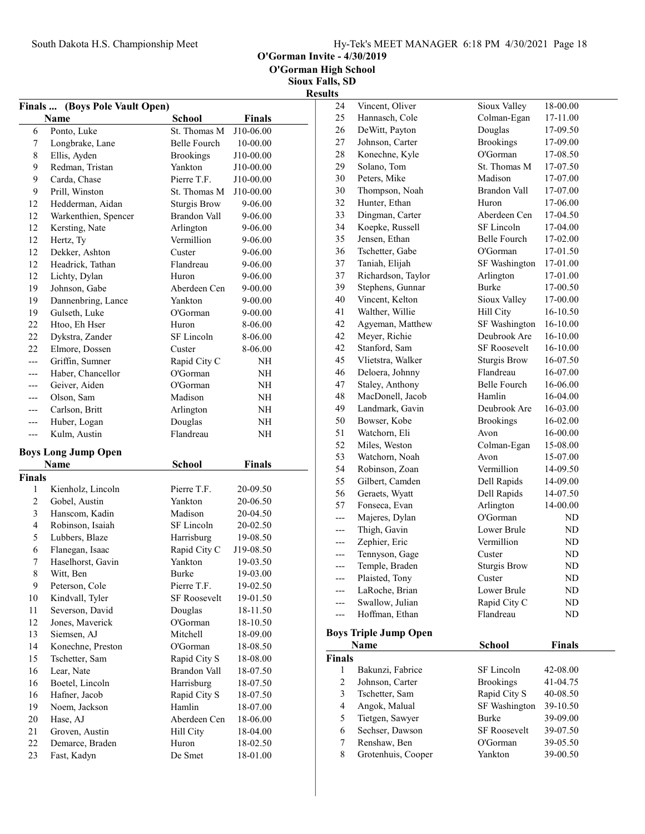O'Gorman Invite - 4/30/2019

Sioux Falls, SD Results

| (Boys Pole Vault Open)<br><b>Finals </b> |                            |                     |               |  |  |
|------------------------------------------|----------------------------|---------------------|---------------|--|--|
|                                          | Name                       | <b>School</b>       | <b>Finals</b> |  |  |
| 6                                        | Ponto, Luke                | St. Thomas M        | J10-06.00     |  |  |
| 7                                        | Longbrake, Lane            | <b>Belle Fourch</b> | 10-00.00      |  |  |
| $\,$ 8 $\,$                              | Ellis, Ayden               | <b>Brookings</b>    | J10-00.00     |  |  |
| 9                                        | Redman, Tristan            | Yankton             | J10-00.00     |  |  |
| 9                                        | Carda, Chase               | Pierre T.F.         | J10-00.00     |  |  |
| 9                                        | Prill, Winston             | St. Thomas M        | J10-00.00     |  |  |
| 12                                       | Hedderman, Aidan           | <b>Sturgis Brow</b> | 9-06.00       |  |  |
| 12                                       | Warkenthien, Spencer       | <b>Brandon Vall</b> | 9-06.00       |  |  |
| 12                                       | Kersting, Nate             | Arlington           | 9-06.00       |  |  |
| 12                                       | Hertz, Ty                  | Vermillion          | 9-06.00       |  |  |
| 12                                       | Dekker, Ashton             | Custer              | 9-06.00       |  |  |
| 12                                       | Headrick, Tathan           | Flandreau           | 9-06.00       |  |  |
| 12                                       | Lichty, Dylan              | Huron               | 9-06.00       |  |  |
| 19                                       | Johnson, Gabe              | Aberdeen Cen        | 9-00.00       |  |  |
| 19                                       | Dannenbring, Lance         | Yankton             | $9 - 00.00$   |  |  |
| 19                                       | Gulseth, Luke              | O'Gorman            | 9-00.00       |  |  |
| 22                                       | Htoo, Eh Hser              | Huron               | 8-06.00       |  |  |
| 22                                       | Dykstra, Zander            | SF Lincoln          | 8-06.00       |  |  |
| 22                                       | Elmore, Dossen             | Custer              | 8-06.00       |  |  |
| $---$                                    | Griffin, Sumner            | Rapid City C        | NH            |  |  |
| ---                                      | Haber, Chancellor          | O'Gorman            | NH            |  |  |
|                                          | Geiver, Aiden              | O'Gorman            | NH            |  |  |
| ---                                      | Olson, Sam                 | Madison             | NH            |  |  |
| ---                                      | Carlson, Britt             | Arlington           | NH            |  |  |
| ---                                      | Huber, Logan               | Douglas             | NH            |  |  |
| ---                                      | Kulm, Austin               | Flandreau           | NΗ            |  |  |
|                                          | <b>Boys Long Jump Open</b> |                     |               |  |  |
|                                          | Name                       | <b>School</b>       | <b>Finals</b> |  |  |
| <b>Finals</b>                            |                            |                     |               |  |  |
| 1                                        | Kienholz, Lincoln          | Pierre T.F.         | 20-09.50      |  |  |
| $\overline{2}$                           | Gobel, Austin              | Yankton             | 20-06.50      |  |  |
| 3                                        | Hanscom, Kadin             | Madison             | 20-04.50      |  |  |
| $\overline{4}$                           | Robinson, Isaiah           | SF Lincoln          | 20-02.50      |  |  |
| 5                                        | Lubbers, Blaze             | Harrisburg          | 19-08.50      |  |  |
| 6                                        | Flanegan, Isaac            | Rapid City C        | J19-08.50     |  |  |
| 7                                        | Haselhorst, Gavin          | Yankton             | 19-03.50      |  |  |
| 8                                        | Witt, Ben                  | Burke               | 19-03.00      |  |  |
| 9                                        | Peterson, Cole             | Pierre T.F.         | 19-02.50      |  |  |
| 10                                       | Kindvall, Tyler            | <b>SF Roosevelt</b> | 19-01.50      |  |  |
| 11                                       | Severson, David            | Douglas             | 18-11.50      |  |  |
| 12                                       | Jones, Maverick            | O'Gorman            | 18-10.50      |  |  |
| 13                                       | Siemsen, AJ                | Mitchell            | 18-09.00      |  |  |
| 14                                       | Konechne, Preston          | O'Gorman            | 18-08.50      |  |  |
| 15                                       | Tschetter, Sam             | Rapid City S        | 18-08.00      |  |  |
| 16                                       | Lear, Nate                 | Brandon Vall        | 18-07.50      |  |  |
| 16                                       | Boetel, Lincoln            | Harrisburg          | 18-07.50      |  |  |
| 16                                       | Hafner, Jacob              | Rapid City S        | 18-07.50      |  |  |
| 19                                       | Noem, Jackson              | Hamlin              | 18-07.00      |  |  |
| 20                                       | Hase, AJ                   | Aberdeen Cen        | 18-06.00      |  |  |
| 21                                       | Groven, Austin             | Hill City           | 18-04.00      |  |  |
| 22                                       | Demarce, Braden            | Huron               | 18-02.50      |  |  |
| 23                                       | Fast, Kadyn                | De Smet             | 18-01.00      |  |  |
|                                          |                            |                     |               |  |  |

| ulto           |                              |                     |          |
|----------------|------------------------------|---------------------|----------|
| 24             | Vincent, Oliver              | Sioux Valley        | 18-00.00 |
| 25             | Hannasch, Cole               | Colman-Egan         | 17-11.00 |
| 26             | DeWitt, Payton               | Douglas             | 17-09.50 |
| 27             | Johnson, Carter              | <b>Brookings</b>    | 17-09.00 |
| 28             | Konechne, Kyle               | O'Gorman            | 17-08.50 |
| 29             | Solano, Tom                  | St. Thomas M        | 17-07.50 |
| 30             | Peters, Mike                 | Madison             | 17-07.00 |
| 30             | Thompson, Noah               | <b>Brandon Vall</b> | 17-07.00 |
| 32             | Hunter, Ethan                | Huron               | 17-06.00 |
| 33             | Dingman, Carter              | Aberdeen Cen        | 17-04.50 |
| 34             | Koepke, Russell              | SF Lincoln          | 17-04.00 |
| 35             | Jensen, Ethan                | Belle Fourch        | 17-02.00 |
| 36             | Tschetter, Gabe              | O'Gorman            | 17-01.50 |
| 37             | Taniah, Elijah               | SF Washington       | 17-01.00 |
| 37             | Richardson, Taylor           | Arlington           | 17-01.00 |
| 39             | Stephens, Gunnar             | <b>Burke</b>        | 17-00.50 |
| 40             | Vincent, Kelton              | Sioux Valley        | 17-00.00 |
| 41             | Walther, Willie              | Hill City           | 16-10.50 |
| 42             | Agyeman, Matthew             | SF Washington       | 16-10.00 |
| 42             | Meyer, Richie                | Deubrook Are        | 16-10.00 |
| 42             | Stanford, Sam                | <b>SF Roosevelt</b> | 16-10.00 |
| 45             | Vlietstra, Walker            | <b>Sturgis Brow</b> | 16-07.50 |
| 46             | Deloera, Johnny              | Flandreau           | 16-07.00 |
| 47             | Staley, Anthony              | <b>Belle Fourch</b> | 16-06.00 |
| 48             | MacDonell, Jacob             | Hamlin              | 16-04.00 |
| 49             | Landmark, Gavin              | Deubrook Are        | 16-03.00 |
| 50             | Bowser, Kobe                 | <b>Brookings</b>    | 16-02.00 |
| 51             | Watchorn, Eli                | Avon                | 16-00.00 |
| 52             | Miles, Weston                | Colman-Egan         | 15-08.00 |
| 53             | Watchorn, Noah               | Avon                | 15-07.00 |
| 54             | Robinson, Zoan               | Vermillion          | 14-09.50 |
| 55             | Gilbert, Camden              | Dell Rapids         | 14-09.00 |
| 56             | Geraets, Wyatt               | Dell Rapids         | 14-07.50 |
| 57             | Fonseca, Evan                | Arlington           | 14-00.00 |
|                | Majeres, Dylan               | O'Gorman            | ND       |
| ---            | Thigh, Gavin                 | Lower Brule         | ND       |
| ---            | Zephier, Eric                | Vermillion          | ND       |
| ---            | Tennyson, Gage               | Custer              | ND       |
| ---            | Temple, Braden               | Sturgis Brow        | ND       |
|                | Plaisted, Tony               | Custer              | ND       |
|                | LaRoche, Brian               | Lower Brule         | ND       |
|                | Swallow, Julian              | Rapid City C        | ND       |
|                | Hoffman, Ethan               | Flandreau           | ND       |
|                | <b>Boys Triple Jump Open</b> |                     |          |
|                | Name                         | School              | Finals   |
| <b>Finals</b>  |                              |                     |          |
| 1              | Bakunzi, Fabrice             | SF Lincoln          | 42-08.00 |
| $\overline{c}$ | Johnson, Carter              | <b>Brookings</b>    | 41-04.75 |
| 3              | Tschetter, Sam               | Rapid City S        | 40-08.50 |
| 4              | Angok, Malual                | SF Washington       | 39-10.50 |

5 Tietgen, Sawyer Burke 39-09.00<br>6 Sechser, Dawson SF Roosevelt 39-07.50 6 39-07.50 Sechser, Dawson SF Roosevelt 7 Renshaw, Ben O'Gorman 39-05.50<br>8 Grotenhuis, Cooper Yankton 39-00.50 8 39-00.50 Grotenhuis, Cooper Yankton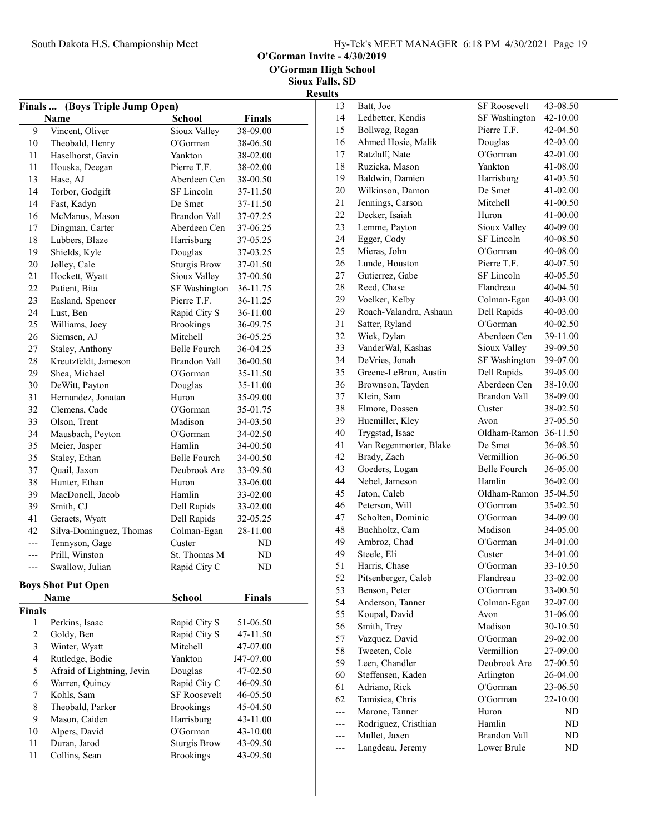O'Gorman Invite - 4/30/2019

Sioux Falls, SD Results

| (Boys Triple Jump Open)<br><b>Finals </b> |                            |                     |               |  |  |
|-------------------------------------------|----------------------------|---------------------|---------------|--|--|
|                                           | Name                       | <b>School</b>       | <b>Finals</b> |  |  |
| 9                                         | Vincent, Oliver            | Sioux Valley        | 38-09.00      |  |  |
| 10                                        | Theobald, Henry            | O'Gorman            | 38-06.50      |  |  |
| 11                                        | Haselhorst, Gavin          | Yankton             | 38-02.00      |  |  |
| 11                                        | Houska, Deegan             | Pierre T.F.         | 38-02.00      |  |  |
| 13                                        | Hase, AJ                   | Aberdeen Cen        | 38-00.50      |  |  |
| 14                                        | Torbor, Godgift            | SF Lincoln          | 37-11.50      |  |  |
| 14                                        | Fast, Kadyn                | De Smet             | 37-11.50      |  |  |
| 16                                        | McManus, Mason             | Brandon Vall        | 37-07.25      |  |  |
| 17                                        | Dingman, Carter            | Aberdeen Cen        | 37-06.25      |  |  |
| 18                                        | Lubbers, Blaze             | Harrisburg          | 37-05.25      |  |  |
| 19                                        | Shields, Kyle              | Douglas             | 37-03.25      |  |  |
| 20                                        | Jolley, Cale               | <b>Sturgis Brow</b> | 37-01.50      |  |  |
| 21                                        | Hockett, Wyatt             | Sioux Valley        | 37-00.50      |  |  |
| 22                                        | Patient, Bita              | SF Washington       | 36-11.75      |  |  |
| 23                                        | Easland, Spencer           | Pierre T.F.         | 36-11.25      |  |  |
| 24                                        | Lust, Ben                  | Rapid City S        | 36-11.00      |  |  |
| 25                                        | Williams, Joey             | <b>Brookings</b>    | 36-09.75      |  |  |
| 26                                        | Siemsen, AJ                | Mitchell            | 36-05.25      |  |  |
| 27                                        | Staley, Anthony            | Belle Fourch        | 36-04.25      |  |  |
| 28                                        | Kreutzfeldt, Jameson       | Brandon Vall        | 36-00.50      |  |  |
| 29                                        | Shea, Michael              | O'Gorman            | 35-11.50      |  |  |
| 30                                        | DeWitt, Payton             | Douglas             | 35-11.00      |  |  |
| 31                                        | Hernandez, Jonatan         | Huron               | 35-09.00      |  |  |
| 32                                        | Clemens, Cade              | O'Gorman            | 35-01.75      |  |  |
| 33                                        | Olson, Trent               | Madison             | 34-03.50      |  |  |
| 34                                        | Mausbach, Peyton           | O'Gorman            | 34-02.50      |  |  |
| 35                                        | Meier, Jasper              | Hamlin              | 34-00.50      |  |  |
| 35                                        | Staley, Ethan              | Belle Fourch        | 34-00.50      |  |  |
| 37                                        | Quail, Jaxon               | Deubrook Are        | 33-09.50      |  |  |
| 38                                        | Hunter, Ethan              | Huron               | 33-06.00      |  |  |
| 39                                        | MacDonell, Jacob           | Hamlin              | 33-02.00      |  |  |
| 39                                        | Smith, CJ                  | Dell Rapids         | 33-02.00      |  |  |
| 41                                        | Geraets, Wyatt             | Dell Rapids         | 32-05.25      |  |  |
| 42                                        | Silva-Dominguez, Thomas    | Colman-Egan         | 28-11.00      |  |  |
| $---$                                     | Tennyson, Gage             | Custer              | ND            |  |  |
| ---                                       | Prill, Winston             | St. Thomas M        | ND            |  |  |
|                                           | Swallow, Julian            | Rapid City C        | ND            |  |  |
|                                           | <b>Boys Shot Put Open</b>  |                     |               |  |  |
|                                           | Name                       | School              | <b>Finals</b> |  |  |
| <b>Finals</b>                             |                            |                     |               |  |  |
| 1                                         | Perkins, Isaac             | Rapid City S        | 51-06.50      |  |  |
| $\overline{c}$                            | Goldy, Ben                 | Rapid City S        | 47-11.50      |  |  |
| 3                                         | Winter, Wyatt              | Mitchell            | 47-07.00      |  |  |
| $\overline{\mathbf{4}}$                   | Rutledge, Bodie            | Yankton             | J47-07.00     |  |  |
| 5                                         | Afraid of Lightning, Jevin | Douglas             | 47-02.50      |  |  |
| 6                                         | Warren, Quincy             | Rapid City C        | 46-09.50      |  |  |
| 7                                         | Kohls, Sam                 | <b>SF Roosevelt</b> | 46-05.50      |  |  |
| 8                                         | Theobald, Parker           | <b>Brookings</b>    | 45-04.50      |  |  |
| 9                                         | Mason, Caiden              | Harrisburg          | 43-11.00      |  |  |
| 10                                        | Alpers, David              | O'Gorman            | 43-10.00      |  |  |
| 11                                        | Duran, Jarod               | <b>Sturgis Brow</b> | 43-09.50      |  |  |
| $11\,$                                    | Collins, Sean              | <b>Brookings</b>    | 43-09.50      |  |  |
|                                           |                            |                     |               |  |  |

| 13  | Batt, Joe              | <b>SF Roosevelt</b>        | 43-08.50 |
|-----|------------------------|----------------------------|----------|
| 14  | Ledbetter, Kendis      | SF Washington              | 42-10.00 |
| 15  | Bollweg, Regan         | Pierre T.F.                | 42-04.50 |
| 16  | Ahmed Hosie, Malik     | Douglas                    | 42-03.00 |
| 17  | Ratzlaff, Nate         | O'Gorman                   | 42-01.00 |
| 18  | Ruzicka, Mason         | Yankton                    | 41-08.00 |
| 19  | Baldwin, Damien        | Harrisburg                 | 41-03.50 |
| 20  | Wilkinson, Damon       | De Smet                    | 41-02.00 |
| 21  | Jennings, Carson       | Mitchell                   | 41-00.50 |
| 22  | Decker, Isaiah         | Huron                      | 41-00.00 |
| 23  | Lemme, Payton          | Sioux Valley               | 40-09.00 |
| 24  | Egger, Cody            | SF Lincoln                 | 40-08.50 |
| 25  | Mieras, John           | O'Gorman                   | 40-08.00 |
| 26  | Lunde, Houston         | Pierre T.F.                | 40-07.50 |
| 27  | Gutierrez, Gabe        | SF Lincoln                 | 40-05.50 |
| 28  | Reed, Chase            | Flandreau                  | 40-04.50 |
| 29  | Voelker, Kelby         |                            | 40-03.00 |
| 29  | Roach-Valandra, Ashaun | Colman-Egan<br>Dell Rapids | 40-03.00 |
|     |                        |                            |          |
| 31  | Satter, Ryland         | O'Gorman                   | 40-02.50 |
| 32  | Wiek, Dylan            | Aberdeen Cen               | 39-11.00 |
| 33  | VanderWal, Kashas      | Sioux Valley               | 39-09.50 |
| 34  | DeVries, Jonah         | SF Washington              | 39-07.00 |
| 35  | Greene-LeBrun, Austin  | Dell Rapids                | 39-05.00 |
| 36  | Brownson, Tayden       | Aberdeen Cen               | 38-10.00 |
| 37  | Klein, Sam             | Brandon Vall               | 38-09.00 |
| 38  | Elmore, Dossen         | Custer                     | 38-02.50 |
| 39  | Huemiller, Kley        | Avon                       | 37-05.50 |
| 40  | Trygstad, Isaac        | Oldham-Ramon               | 36-11.50 |
| 41  | Van Regenmorter, Blake | De Smet                    | 36-08.50 |
| 42  | Brady, Zach            | Vermillion                 | 36-06.50 |
| 43  | Goeders, Logan         | Belle Fourch               | 36-05.00 |
| 44  | Nebel, Jameson         | Hamlin                     | 36-02.00 |
| 45  | Jaton, Caleb           | Oldham-Ramon               | 35-04.50 |
| 46  | Peterson, Will         | O'Gorman                   | 35-02.50 |
| 47  | Scholten, Dominic      | O'Gorman                   | 34-09.00 |
| 48  | Buchholtz, Cam         | Madison                    | 34-05.00 |
| 49  | Ambroz, Chad           | O'Gorman                   | 34-01.00 |
| 49  | Steele, Eli            | Custer                     | 34-01.00 |
| 51  | Harris, Chase          | O'Gorman                   | 33-10.50 |
| 52  | Pitsenberger, Caleb    | Flandreau                  | 33-02.00 |
| 53  | Benson, Peter          | O'Gorman                   | 33-00.50 |
| 54  | Anderson, Tanner       | Colman-Egan                | 32-07.00 |
| 55  | Koupal, David          | Avon                       | 31-06.00 |
| 56  | Smith, Trey            | Madison                    | 30-10.50 |
| 57  | Vazquez, David         | O'Gorman                   | 29-02.00 |
| 58  | Tweeten, Cole          | Vermillion                 | 27-09.00 |
| 59  | Leen, Chandler         | Deubrook Are               | 27-00.50 |
| 60  | Steffensen, Kaden      | Arlington                  | 26-04.00 |
| 61  | Adriano, Rick          | O'Gorman                   | 23-06.50 |
| 62  | Tamisiea, Chris        | O'Gorman                   | 22-10.00 |
| --- | Marone, Tanner         | Huron                      | ND       |
| --- | Rodriguez, Cristhian   | Hamlin                     | ND       |
| --- | Mullet, Jaxen          | <b>Brandon Vall</b>        | ND.      |
| --- | Langdeau, Jeremy       | Lower Brule                | ND       |
|     |                        |                            |          |